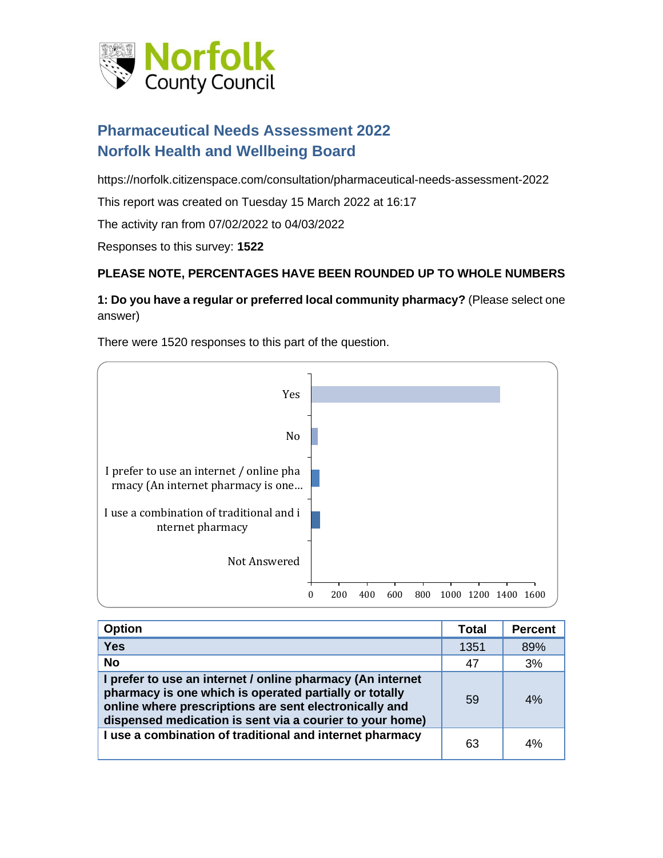

# **Pharmaceutical Needs Assessment 2022 Norfolk Health and Wellbeing Board**

https://norfolk.citizenspace.com/consultation/pharmaceutical-needs-assessment-2022

This report was created on Tuesday 15 March 2022 at 16:17

The activity ran from 07/02/2022 to 04/03/2022

Responses to this survey: **1522**

#### **PLEASE NOTE, PERCENTAGES HAVE BEEN ROUNDED UP TO WHOLE NUMBERS**

#### **1: Do you have a regular or preferred local community pharmacy?** (Please select one answer)

There were 1520 responses to this part of the question.



| <b>Option</b>                                                                                                                                                                                                                              | <b>Total</b> | <b>Percent</b> |
|--------------------------------------------------------------------------------------------------------------------------------------------------------------------------------------------------------------------------------------------|--------------|----------------|
| <b>Yes</b>                                                                                                                                                                                                                                 | 1351         | 89%            |
| <b>No</b>                                                                                                                                                                                                                                  | 47           | 3%             |
| I prefer to use an internet / online pharmacy (An internet<br>pharmacy is one which is operated partially or totally<br>online where prescriptions are sent electronically and<br>dispensed medication is sent via a courier to your home) | 59           | 4%             |
| I use a combination of traditional and internet pharmacy                                                                                                                                                                                   | 63           | 4%             |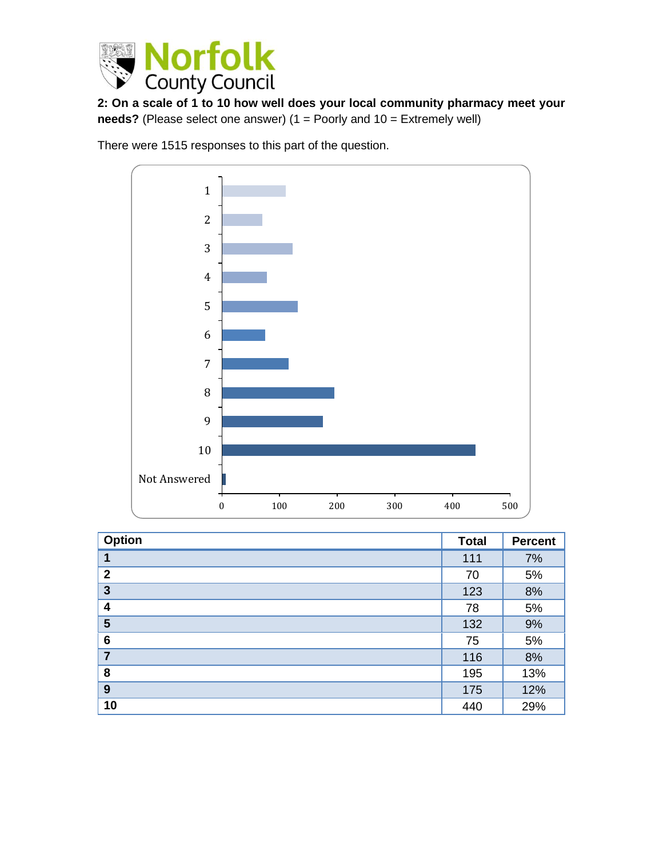

**2: On a scale of 1 to 10 how well does your local community pharmacy meet your needs?** (Please select one answer) (1 = Poorly and 10 = Extremely well)

There were 1515 responses to this part of the question.



| Option          | <b>Total</b> | <b>Percent</b> |
|-----------------|--------------|----------------|
| 1               | 111          | 7%             |
| $\overline{2}$  | 70           | 5%             |
| $\mathbf{3}$    | 123          | 8%             |
| 4               | 78           | 5%             |
| 5               | 132          | 9%             |
| $6\phantom{1}6$ | 75           | 5%             |
| $\overline{7}$  | 116          | 8%             |
| 8               | 195          | 13%            |
| 9               | 175          | 12%            |
| 10              | 440          | 29%            |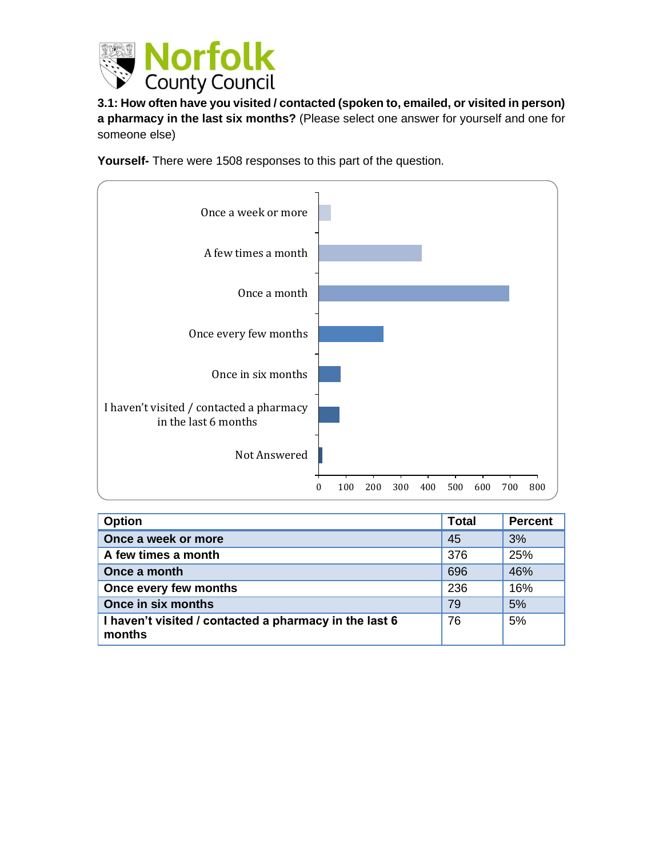

**3.1: How often have you visited / contacted (spoken to, emailed, or visited in person) a pharmacy in the last six months?** (Please select one answer for yourself and one for someone else)

**Yourself-** There were 1508 responses to this part of the question.



| <b>Option</b>                                                    | <b>Total</b> | <b>Percent</b> |
|------------------------------------------------------------------|--------------|----------------|
| Once a week or more                                              | 45           | 3%             |
| A few times a month                                              | 376          | 25%            |
| Once a month                                                     | 696          | 46%            |
| Once every few months                                            | 236          | 16%            |
| Once in six months                                               | 79           | 5%             |
| I haven't visited / contacted a pharmacy in the last 6<br>months | 76           | 5%             |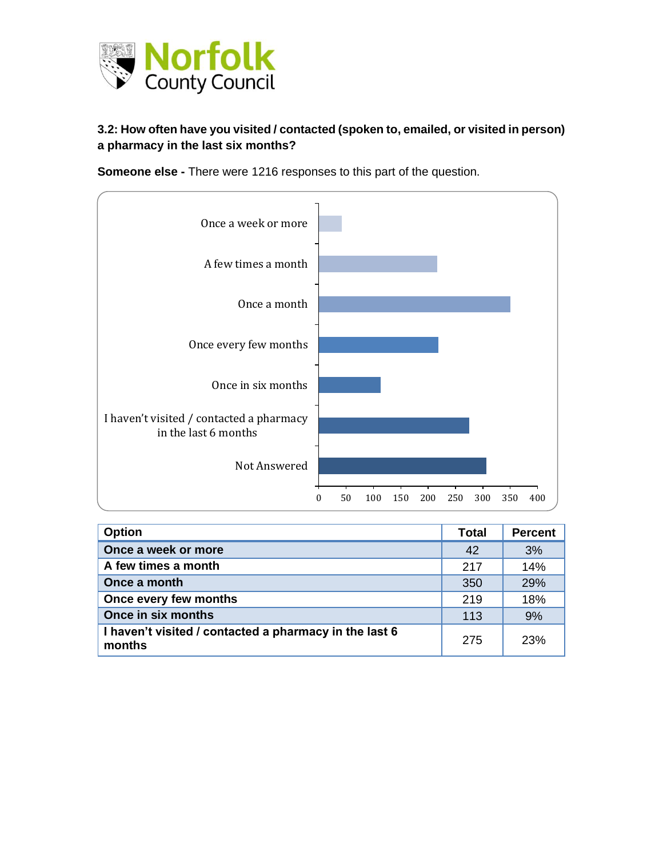

#### **3.2: How often have you visited / contacted (spoken to, emailed, or visited in person) a pharmacy in the last six months?**

**Someone else -** There were 1216 responses to this part of the question.



| <b>Option</b>                                                    | <b>Total</b> | <b>Percent</b> |
|------------------------------------------------------------------|--------------|----------------|
| Once a week or more                                              | 42           | 3%             |
| A few times a month                                              | 217          | 14%            |
| Once a month                                                     | 350          | 29%            |
| Once every few months                                            | 219          | 18%            |
| Once in six months                                               | 113          | 9%             |
| I haven't visited / contacted a pharmacy in the last 6<br>months | 275          | 23%            |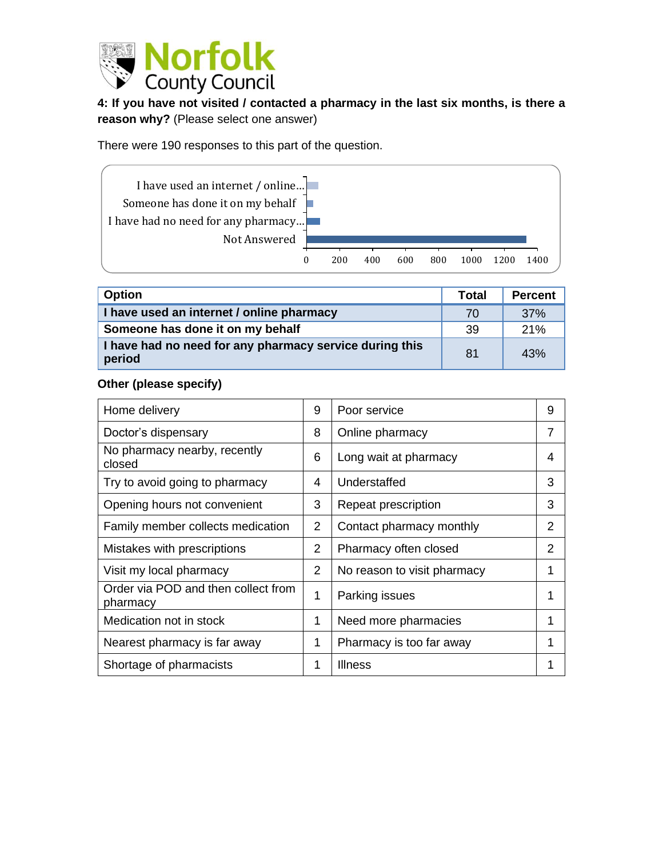

**4: If you have not visited / contacted a pharmacy in the last six months, is there a reason why?** (Please select one answer)

There were 190 responses to this part of the question.



| <b>Option</b>                                                     | <b>Total</b> | <b>Percent</b> |
|-------------------------------------------------------------------|--------------|----------------|
| I have used an internet / online pharmacy                         | 70           | 37%            |
| Someone has done it on my behalf                                  | 39           | 21%            |
| I have had no need for any pharmacy service during this<br>period | 81           | 43%            |

#### **Other (please specify)**

| Home delivery                                   | 9 | Poor service                | 9 |
|-------------------------------------------------|---|-----------------------------|---|
| Doctor's dispensary                             | 8 | Online pharmacy             | 7 |
| No pharmacy nearby, recently<br>closed          | 6 | Long wait at pharmacy       | 4 |
| Try to avoid going to pharmacy                  | 4 | Understaffed                | 3 |
| Opening hours not convenient                    | 3 | Repeat prescription         | 3 |
| Family member collects medication               | 2 | Contact pharmacy monthly    | 2 |
| Mistakes with prescriptions                     | 2 | Pharmacy often closed       | 2 |
| Visit my local pharmacy                         | 2 | No reason to visit pharmacy | 1 |
| Order via POD and then collect from<br>pharmacy | 1 | Parking issues              | 1 |
| Medication not in stock                         | 1 | Need more pharmacies        | 1 |
| Nearest pharmacy is far away                    | 1 | Pharmacy is too far away    | 1 |
| Shortage of pharmacists                         | 1 | Illness                     |   |
|                                                 |   |                             |   |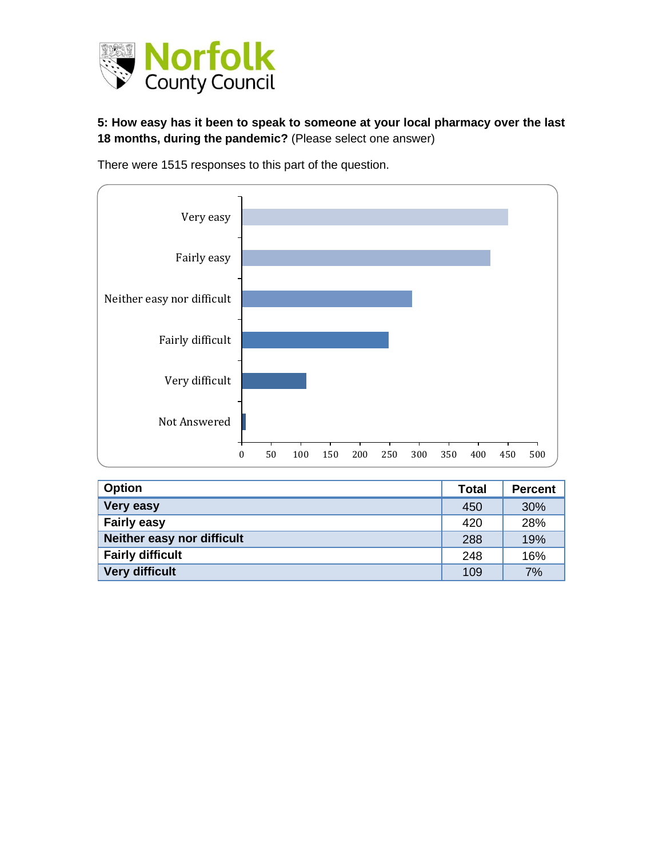

**5: How easy has it been to speak to someone at your local pharmacy over the last 18 months, during the pandemic?** (Please select one answer)



There were 1515 responses to this part of the question.

| <b>Option</b>              | <b>Total</b> | <b>Percent</b> |
|----------------------------|--------------|----------------|
| <b>Very easy</b>           | 450          | 30%            |
| <b>Fairly easy</b>         | 420          | 28%            |
| Neither easy nor difficult | 288          | 19%            |
| <b>Fairly difficult</b>    | 248          | 16%            |
| Very difficult             | 109          | 7%             |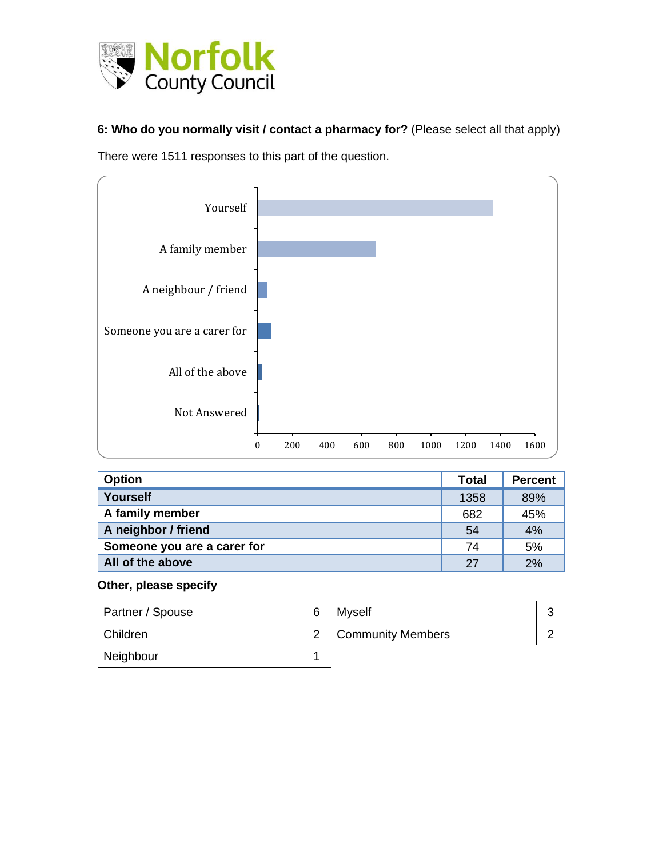

**6: Who do you normally visit / contact a pharmacy for?** (Please select all that apply)

There were 1511 responses to this part of the question.



| <b>Option</b>               | <b>Total</b> | <b>Percent</b> |
|-----------------------------|--------------|----------------|
| Yourself                    | 1358         | 89%            |
| A family member             | 682          | 45%            |
| A neighbor / friend         | 54           | 4%             |
| Someone you are a carer for | 74           | 5%             |
| All of the above            | 27           | 2%             |

#### **Other, please specify**

| Partner / Spouse | 6 | <b>Myself</b>            | $\sqrt{2}$ |
|------------------|---|--------------------------|------------|
| Children         |   | <b>Community Members</b> |            |
| Neighbour        |   |                          |            |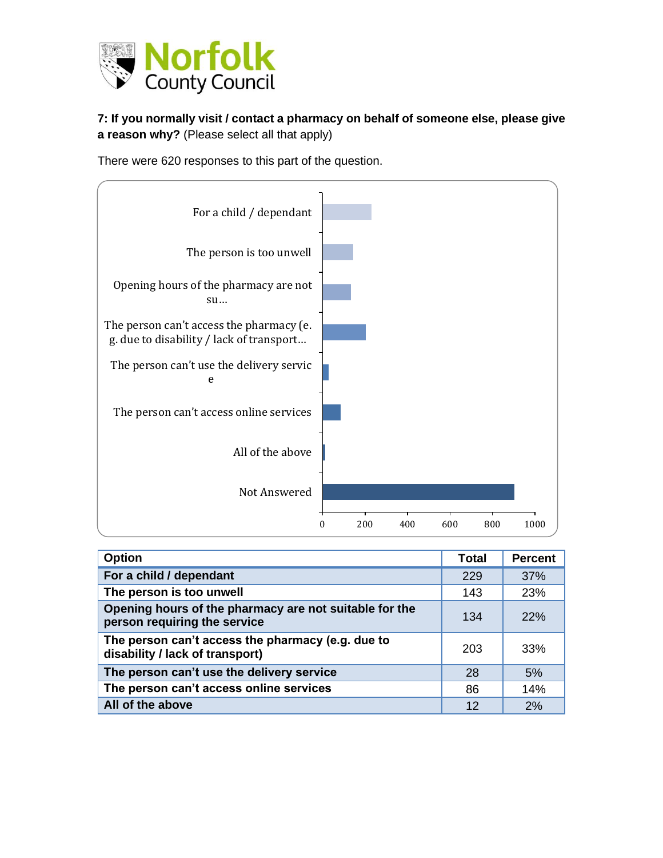

**7: If you normally visit / contact a pharmacy on behalf of someone else, please give a reason why?** (Please select all that apply)

There were 620 responses to this part of the question.



| <b>Option</b>                                                                          | Total | <b>Percent</b> |
|----------------------------------------------------------------------------------------|-------|----------------|
| For a child / dependant                                                                | 229   | 37%            |
| The person is too unwell                                                               | 143   | 23%            |
| Opening hours of the pharmacy are not suitable for the<br>person requiring the service | 134   | 22%            |
| The person can't access the pharmacy (e.g. due to<br>disability / lack of transport)   | 203   | 33%            |
| The person can't use the delivery service                                              | 28    | 5%             |
| The person can't access online services                                                | 86    | 14%            |
| All of the above                                                                       | 12    | 2%             |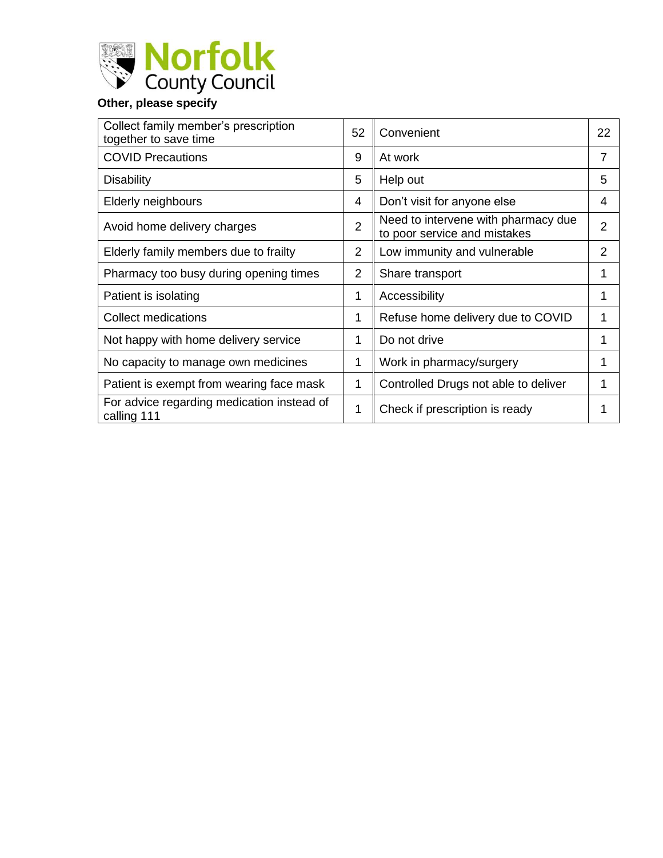

| Collect family member's prescription<br>together to save time | 52             | Convenient                                                          | 22 |
|---------------------------------------------------------------|----------------|---------------------------------------------------------------------|----|
| <b>COVID Precautions</b>                                      | 9              | At work                                                             | 7  |
| <b>Disability</b>                                             | 5              | Help out                                                            | 5  |
| <b>Elderly neighbours</b>                                     | 4              | Don't visit for anyone else                                         | 4  |
| Avoid home delivery charges                                   | 2              | Need to intervene with pharmacy due<br>to poor service and mistakes | 2  |
| Elderly family members due to frailty                         | 2              | Low immunity and vulnerable                                         | 2  |
| Pharmacy too busy during opening times                        | $\overline{2}$ | Share transport                                                     | 1  |
| Patient is isolating                                          | 1              | Accessibility                                                       | 1  |
| <b>Collect medications</b>                                    | 1              | Refuse home delivery due to COVID                                   | 1  |
| Not happy with home delivery service                          | 1              | Do not drive                                                        | 1  |
| No capacity to manage own medicines                           | 1              | Work in pharmacy/surgery                                            |    |
| Patient is exempt from wearing face mask                      | 1              | Controlled Drugs not able to deliver                                |    |
| For advice regarding medication instead of<br>calling 111     | 1              | Check if prescription is ready                                      |    |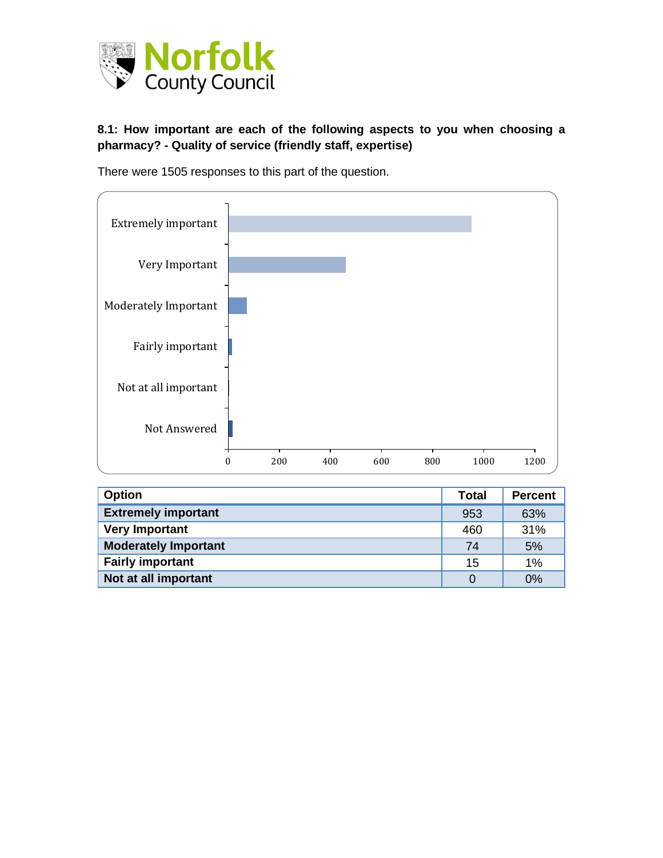

#### **8.1: How important are each of the following aspects to you when choosing a pharmacy? - Quality of service (friendly staff, expertise)**



There were 1505 responses to this part of the question.

| <b>Option</b>               | Total    | <b>Percent</b> |
|-----------------------------|----------|----------------|
| <b>Extremely important</b>  | 953      | 63%            |
| <b>Very Important</b>       | 460      | 31%            |
| <b>Moderately Important</b> | 74       | 5%             |
| <b>Fairly important</b>     | 15       | 1%             |
| Not at all important        | $\Omega$ | 0%             |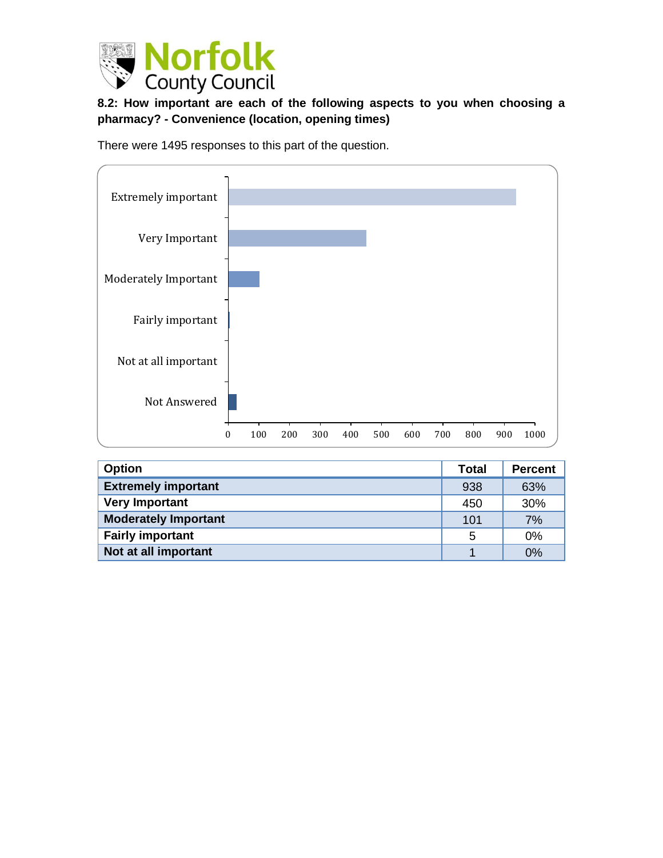

## **8.2: How important are each of the following aspects to you when choosing a pharmacy? - Convenience (location, opening times)**

There were 1495 responses to this part of the question.



| <b>Option</b>               | <b>Total</b> | <b>Percent</b> |
|-----------------------------|--------------|----------------|
| <b>Extremely important</b>  | 938          | 63%            |
| <b>Very Important</b>       | 450          | 30%            |
| <b>Moderately Important</b> | 101          | 7%             |
| <b>Fairly important</b>     | 5            | 0%             |
| Not at all important        |              | 0%             |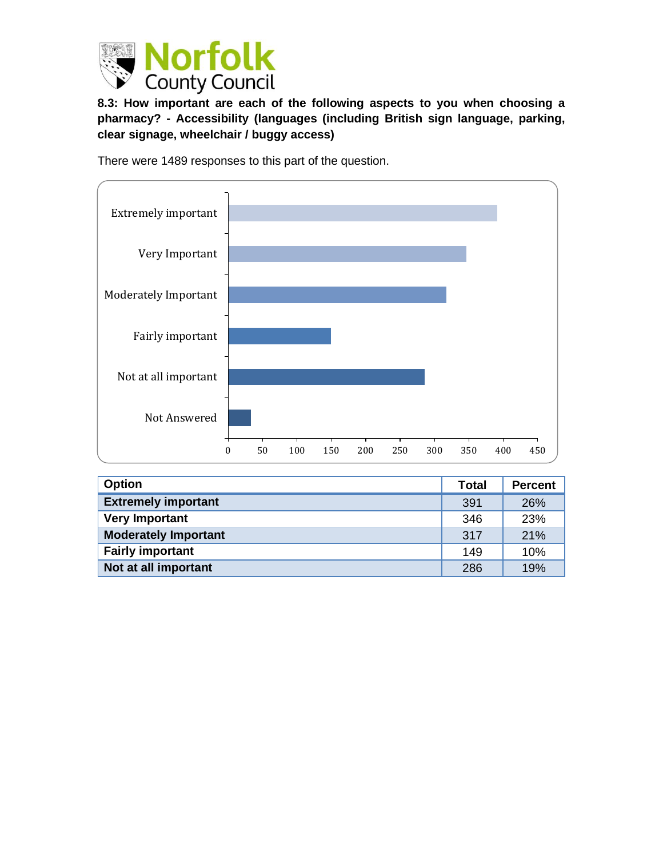

**8.3: How important are each of the following aspects to you when choosing a pharmacy? - Accessibility (languages (including British sign language, parking, clear signage, wheelchair / buggy access)**

There were 1489 responses to this part of the question.



| <b>Option</b>               | <b>Total</b> | <b>Percent</b> |
|-----------------------------|--------------|----------------|
| <b>Extremely important</b>  | 391          | 26%            |
| <b>Very Important</b>       | 346          | 23%            |
| <b>Moderately Important</b> | 317          | 21%            |
| <b>Fairly important</b>     | 149          | 10%            |
| Not at all important        | 286          | 19%            |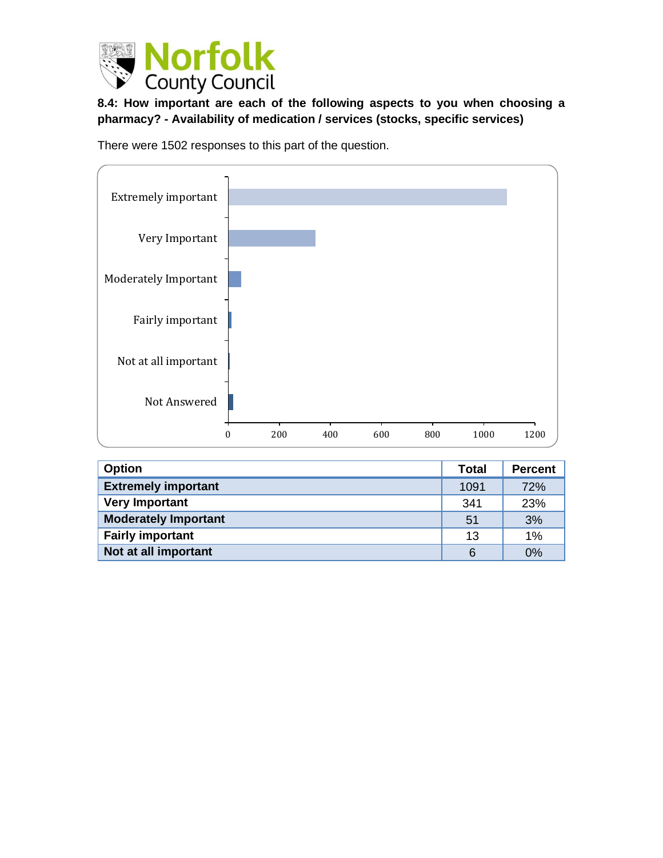

**8.4: How important are each of the following aspects to you when choosing a pharmacy? - Availability of medication / services (stocks, specific services)**

There were 1502 responses to this part of the question.



| <b>Option</b>               | Total | <b>Percent</b> |
|-----------------------------|-------|----------------|
| <b>Extremely important</b>  | 1091  | 72%            |
| <b>Very Important</b>       | 341   | 23%            |
| <b>Moderately Important</b> | 51    | 3%             |
| <b>Fairly important</b>     | 13    | 1%             |
| Not at all important        | 6     | 0%             |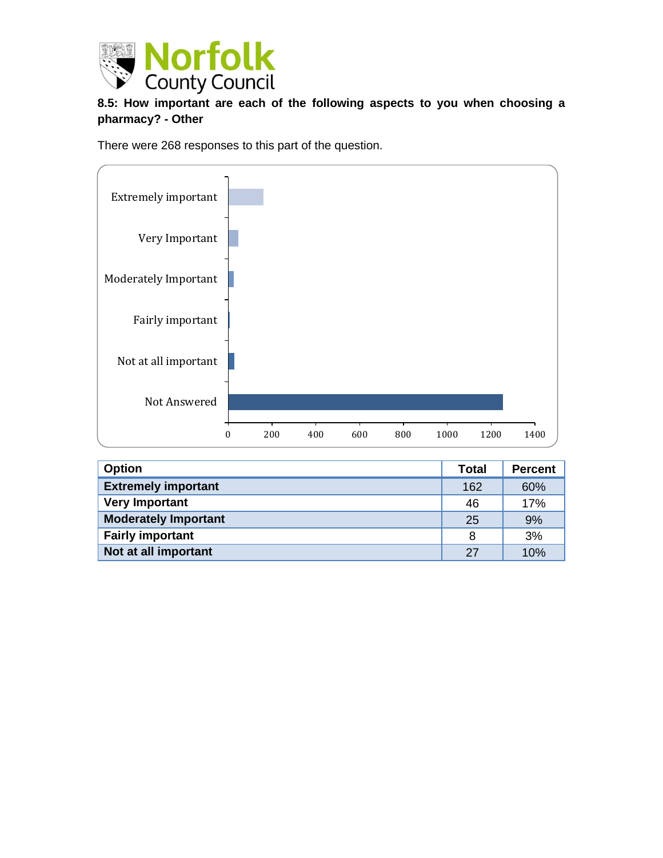

### **8.5: How important are each of the following aspects to you when choosing a pharmacy? - Other**

There were 268 responses to this part of the question.



| <b>Option</b>               | <b>Total</b> | <b>Percent</b> |
|-----------------------------|--------------|----------------|
| <b>Extremely important</b>  | 162          | 60%            |
| <b>Very Important</b>       | 46           | 17%            |
| <b>Moderately Important</b> | 25           | 9%             |
| <b>Fairly important</b>     | 8            | 3%             |
| Not at all important        | 27           | 10%            |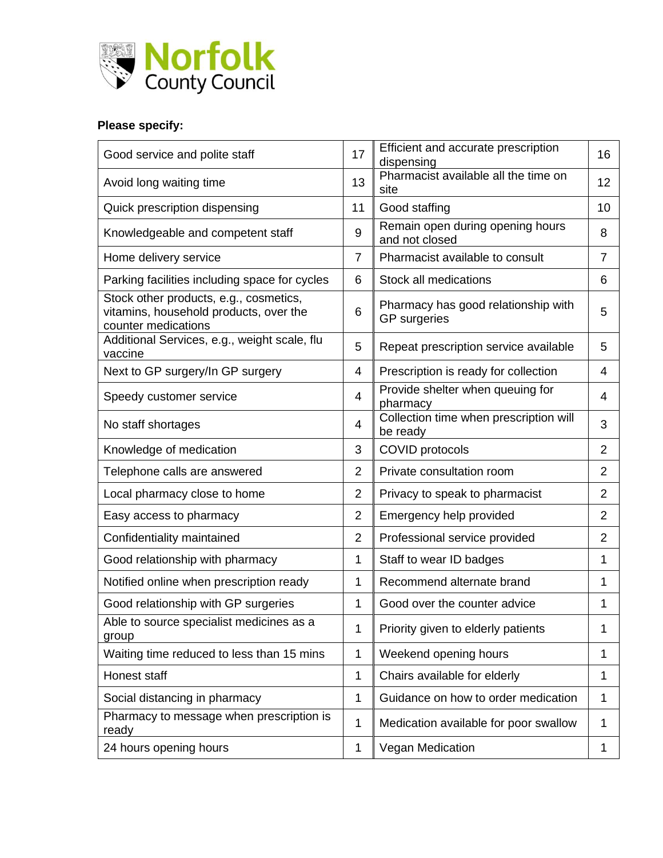

# **Please specify:**

| Good service and polite staff                                                                           | 17             | Efficient and accurate prescription<br>dispensing          | 16             |
|---------------------------------------------------------------------------------------------------------|----------------|------------------------------------------------------------|----------------|
| Avoid long waiting time                                                                                 | 13             | Pharmacist available all the time on<br>site               | 12             |
| Quick prescription dispensing                                                                           | 11             | Good staffing                                              | 10             |
| Knowledgeable and competent staff                                                                       | 9              | Remain open during opening hours<br>and not closed         | 8              |
| Home delivery service                                                                                   | $\overline{7}$ | Pharmacist available to consult                            | $\overline{7}$ |
| Parking facilities including space for cycles                                                           | 6              | Stock all medications                                      | 6              |
| Stock other products, e.g., cosmetics,<br>vitamins, household products, over the<br>counter medications | 6              | Pharmacy has good relationship with<br><b>GP</b> surgeries | 5              |
| Additional Services, e.g., weight scale, flu<br>vaccine                                                 | 5              | Repeat prescription service available                      | 5              |
| Next to GP surgery/In GP surgery                                                                        | 4              | Prescription is ready for collection                       | 4              |
| Speedy customer service                                                                                 | 4              | Provide shelter when queuing for<br>pharmacy               | 4              |
| No staff shortages                                                                                      | 4              | Collection time when prescription will<br>be ready         | 3              |
| Knowledge of medication                                                                                 | 3              | <b>COVID protocols</b>                                     | $\overline{2}$ |
| Telephone calls are answered                                                                            | $\overline{2}$ | Private consultation room                                  | $\overline{2}$ |
| Local pharmacy close to home                                                                            | $\overline{2}$ | Privacy to speak to pharmacist                             | $\overline{2}$ |
| Easy access to pharmacy                                                                                 | $\overline{2}$ | Emergency help provided                                    | $\overline{2}$ |
| Confidentiality maintained                                                                              | $\overline{2}$ | Professional service provided                              | $\overline{2}$ |
| Good relationship with pharmacy                                                                         | 1              | Staff to wear ID badges                                    | 1              |
| Notified online when prescription ready                                                                 | $\mathbf 1$    | Recommend alternate brand                                  | 1              |
| Good relationship with GP surgeries                                                                     | $\mathbf{1}$   | Good over the counter advice                               | 1              |
| Able to source specialist medicines as a<br>group                                                       | 1              | Priority given to elderly patients                         | 1              |
| Waiting time reduced to less than 15 mins                                                               | $\mathbf 1$    | Weekend opening hours                                      | 1              |
| Honest staff                                                                                            | 1              | Chairs available for elderly                               | 1              |
| Social distancing in pharmacy                                                                           | 1              | Guidance on how to order medication                        | 1              |
| Pharmacy to message when prescription is<br>ready                                                       | 1              | Medication available for poor swallow                      | 1              |
| 24 hours opening hours                                                                                  | 1              | Vegan Medication                                           | 1              |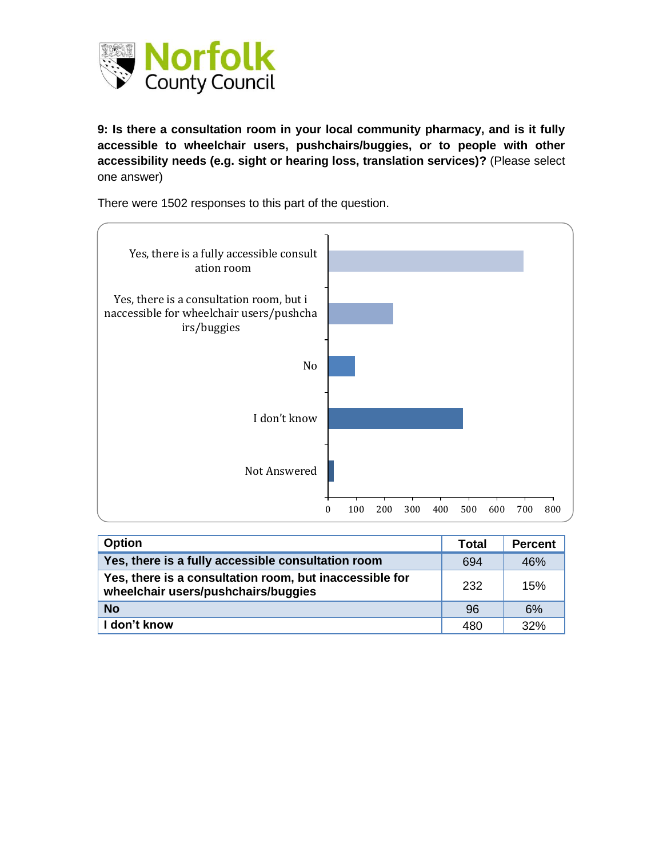

**9: Is there a consultation room in your local community pharmacy, and is it fully accessible to wheelchair users, pushchairs/buggies, or to people with other accessibility needs (e.g. sight or hearing loss, translation services)?** (Please select one answer)

There were 1502 responses to this part of the question.



| <b>Option</b>                                                                                  | Total | <b>Percent</b> |
|------------------------------------------------------------------------------------------------|-------|----------------|
| Yes, there is a fully accessible consultation room                                             | 694   | 46%            |
| Yes, there is a consultation room, but inaccessible for<br>wheelchair users/pushchairs/buggies | 232   | 15%            |
| <b>No</b>                                                                                      | 96    | 6%             |
| don't know                                                                                     | 480   | 32%            |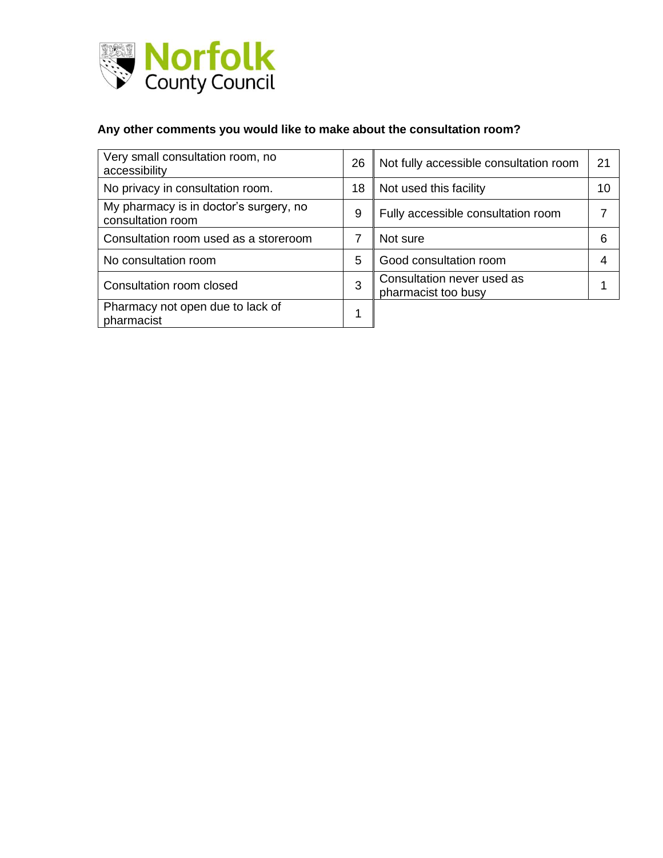

# **Any other comments you would like to make about the consultation room?**

| Very small consultation room, no<br>accessibility           | 26 | Not fully accessible consultation room            | 21 |
|-------------------------------------------------------------|----|---------------------------------------------------|----|
| No privacy in consultation room.                            | 18 | Not used this facility                            | 10 |
| My pharmacy is in doctor's surgery, no<br>consultation room | 9  | Fully accessible consultation room                |    |
| Consultation room used as a storeroom                       | 7  | Not sure                                          | 6  |
| No consultation room                                        | 5  | Good consultation room                            | 4  |
| Consultation room closed                                    | 3  | Consultation never used as<br>pharmacist too busy |    |
| Pharmacy not open due to lack of<br>pharmacist              |    |                                                   |    |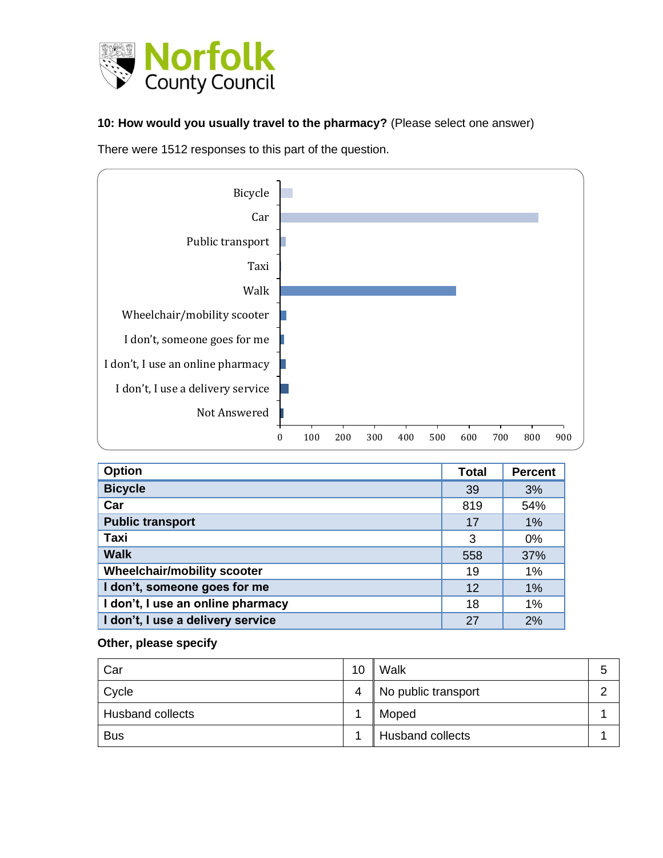

#### **10: How would you usually travel to the pharmacy?** (Please select one answer)

There were 1512 responses to this part of the question.



| <b>Option</b>                      | <b>Total</b> | <b>Percent</b> |
|------------------------------------|--------------|----------------|
| <b>Bicycle</b>                     | 39           | 3%             |
| Car                                | 819          | 54%            |
| <b>Public transport</b>            | 17           | 1%             |
| Taxi                               | 3            | 0%             |
| <b>Walk</b>                        | 558          | 37%            |
| <b>Wheelchair/mobility scooter</b> | 19           | 1%             |
| I don't, someone goes for me       | 12           | 1%             |
| I don't, I use an online pharmacy  | 18           | 1%             |
| I don't, I use a delivery service  | 27           | 2%             |

#### **Other, please specify**

| Car                     | 10 | Walk                    | э |
|-------------------------|----|-------------------------|---|
| Cycle                   | 4  | No public transport     |   |
| <b>Husband collects</b> |    | Moped                   |   |
| <b>Bus</b>              |    | <b>Husband collects</b> |   |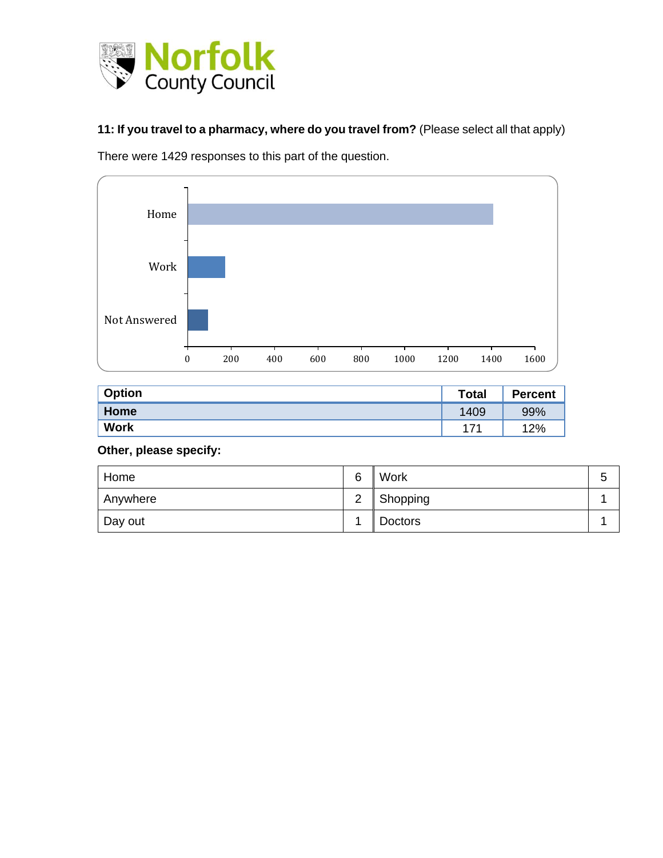

**11: If you travel to a pharmacy, where do you travel from?** (Please select all that apply)

There were 1429 responses to this part of the question.



| <b>Option</b> | <b>Total</b> | <b>Percent</b> |
|---------------|--------------|----------------|
| Home          | 1409         | 99%            |
| <b>Work</b>   | 171          | 12%            |

### **Other, please specify:**

| Home     | 6              | Work           | ∽<br>u |
|----------|----------------|----------------|--------|
| Anywhere | 2<br>∼         | Shopping       |        |
| Day out  | $\overline{A}$ | <b>Doctors</b> |        |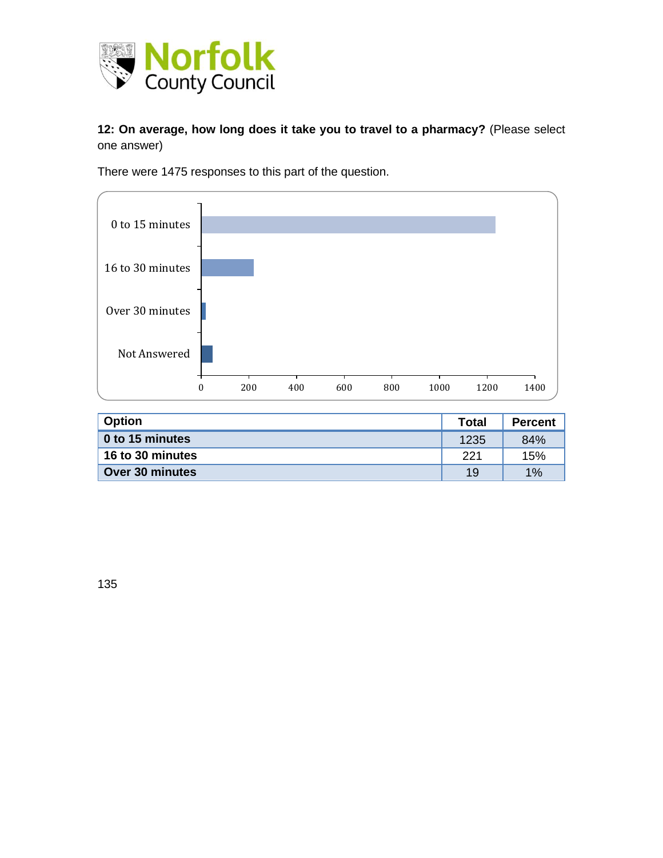

**12: On average, how long does it take you to travel to a pharmacy?** (Please select one answer)

There were 1475 responses to this part of the question.



| <b>Option</b>    | Total | <b>Percent</b> |
|------------------|-------|----------------|
| 0 to 15 minutes  | 1235  | 84%            |
| 16 to 30 minutes | 221   | 15%            |
| Over 30 minutes  | 19    | 1%             |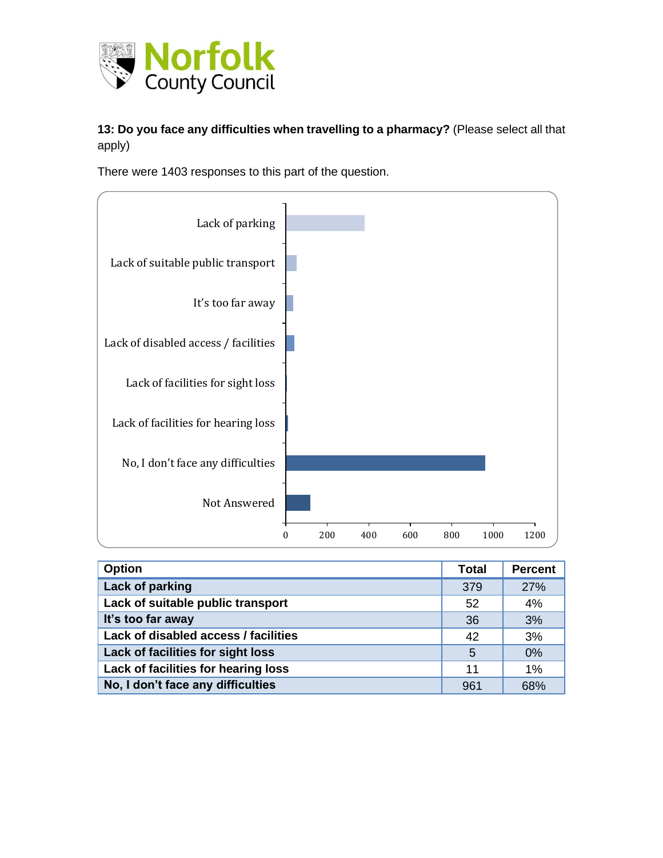

### **13: Do you face any difficulties when travelling to a pharmacy?** (Please select all that apply)

There were 1403 responses to this part of the question.



| <b>Option</b>                        | <b>Total</b> | <b>Percent</b> |
|--------------------------------------|--------------|----------------|
| Lack of parking                      | 379          | 27%            |
| Lack of suitable public transport    | 52           | 4%             |
| It's too far away                    | 36           | 3%             |
| Lack of disabled access / facilities | 42           | 3%             |
| Lack of facilities for sight loss    | 5            | 0%             |
| Lack of facilities for hearing loss  | 11           | 1%             |
| No, I don't face any difficulties    | 961          | 68%            |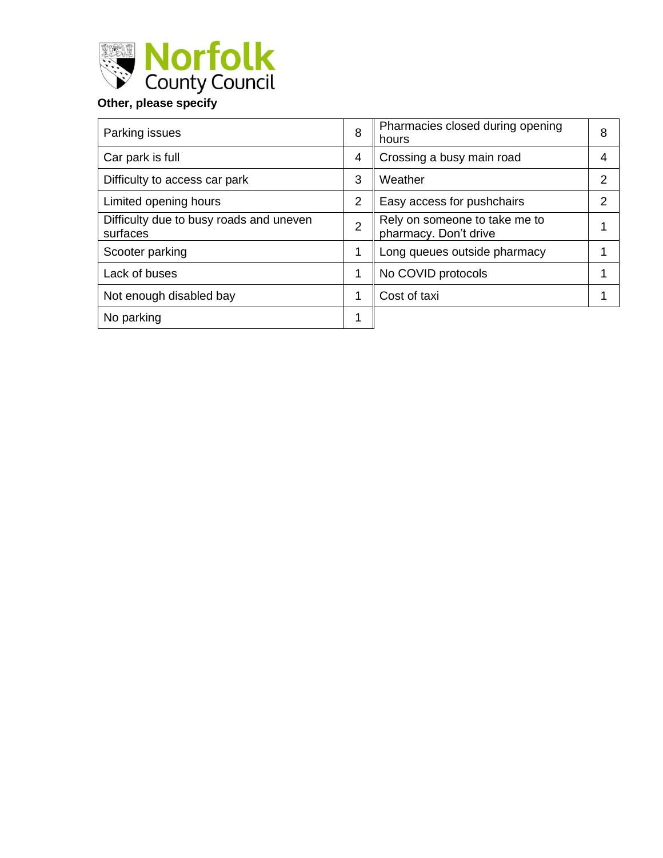

| Parking issues                                      | 8              | Pharmacies closed during opening<br>hours              | 8 |
|-----------------------------------------------------|----------------|--------------------------------------------------------|---|
| Car park is full                                    | 4              | Crossing a busy main road                              | 4 |
| Difficulty to access car park                       | 3              | Weather                                                | っ |
| Limited opening hours                               | 2              | Easy access for pushchairs                             | າ |
| Difficulty due to busy roads and uneven<br>surfaces | $\overline{2}$ | Rely on someone to take me to<br>pharmacy. Don't drive |   |
| Scooter parking                                     | 1              | Long queues outside pharmacy                           |   |
| Lack of buses                                       | 1              | No COVID protocols                                     |   |
| Not enough disabled bay                             | 1              | Cost of taxi                                           |   |
| No parking                                          | 1              |                                                        |   |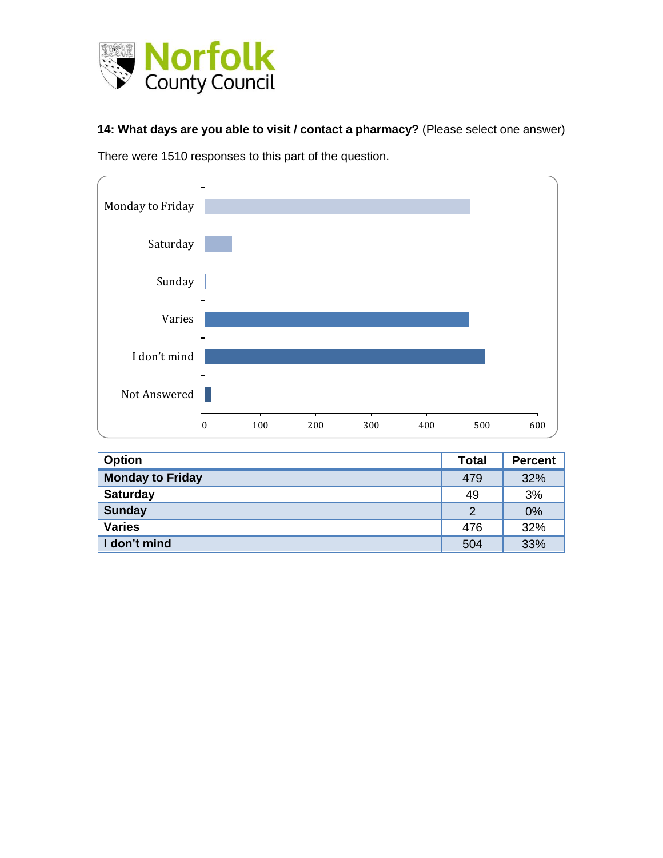

**14: What days are you able to visit / contact a pharmacy?** (Please select one answer)

There were 1510 responses to this part of the question.



| <b>Option</b>           | <b>Total</b> | <b>Percent</b> |
|-------------------------|--------------|----------------|
| <b>Monday to Friday</b> | 479          | 32%            |
| <b>Saturday</b>         | 49           | 3%             |
| <b>Sunday</b>           | 2            | 0%             |
| <b>Varies</b>           | 476          | 32%            |
| I don't mind            | 504          | 33%            |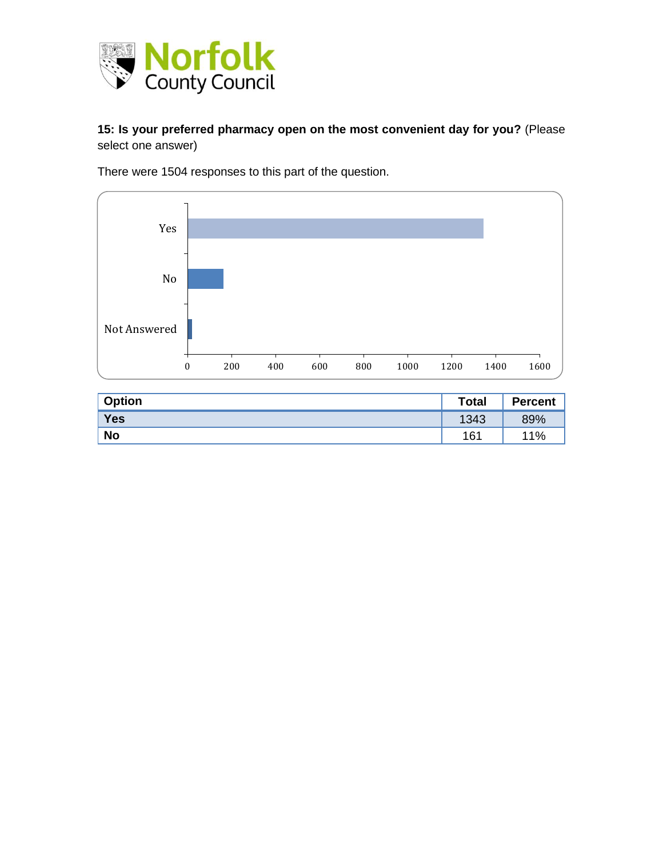

#### **15: Is your preferred pharmacy open on the most convenient day for you?** (Please select one answer)

There were 1504 responses to this part of the question.



| <b>Option</b> | <b>Total</b> | <b>Percent</b> |
|---------------|--------------|----------------|
| Yes           | 1343         | 89%            |
| <b>No</b>     | 161          | 11%            |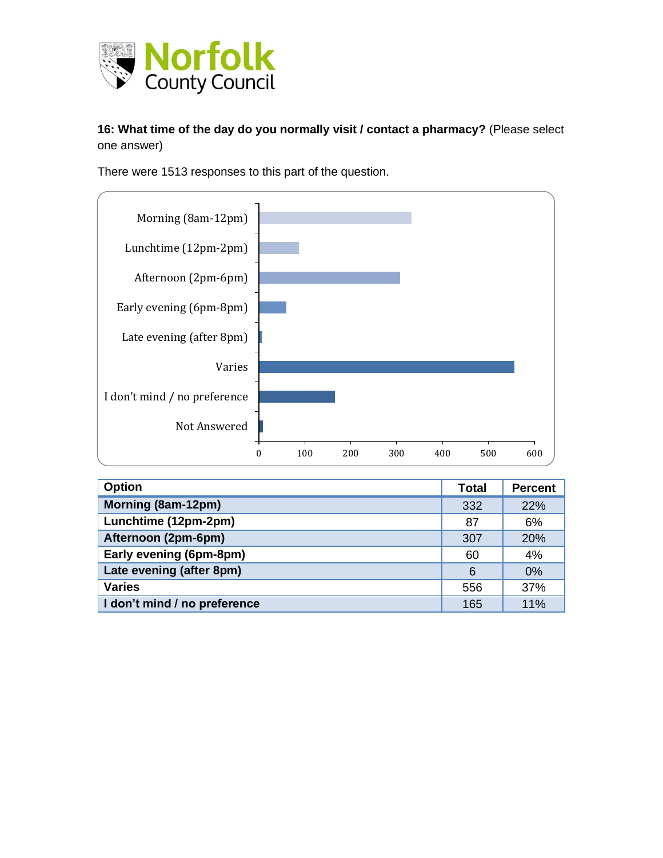

#### **16: What time of the day do you normally visit / contact a pharmacy?** (Please select one answer)

There were 1513 responses to this part of the question.



| <b>Option</b>                | <b>Total</b> | <b>Percent</b> |
|------------------------------|--------------|----------------|
| Morning (8am-12pm)           | 332          | 22%            |
| Lunchtime (12pm-2pm)         | 87           | 6%             |
| Afternoon (2pm-6pm)          | 307          | 20%            |
| Early evening (6pm-8pm)      | 60           | 4%             |
| Late evening (after 8pm)     | 6            | 0%             |
| <b>Varies</b>                | 556          | 37%            |
| I don't mind / no preference | 165          | 11%            |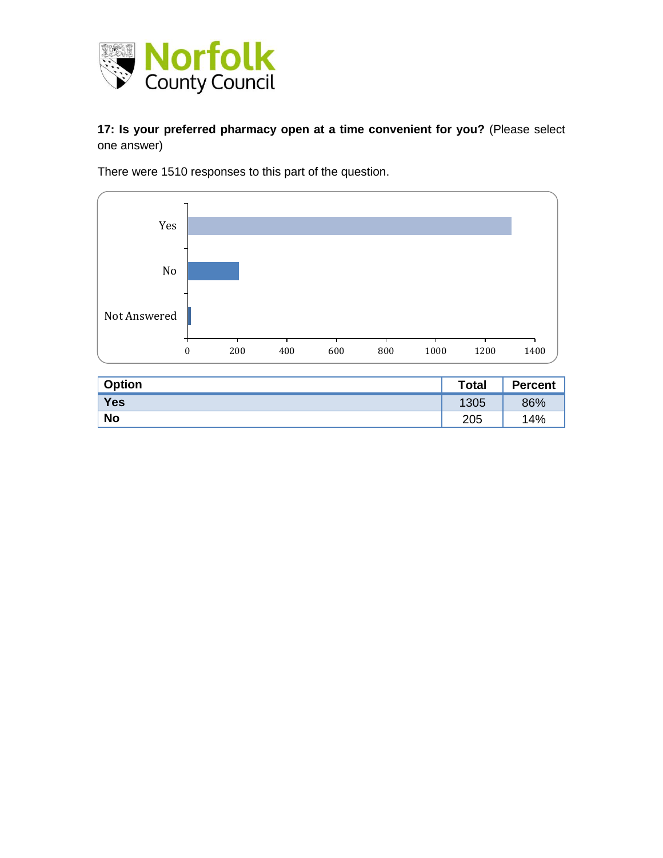

#### **17: Is your preferred pharmacy open at a time convenient for you?** (Please select one answer)

There were 1510 responses to this part of the question.



| <b>Option</b> | <b>Total</b> | <b>Percent</b> |
|---------------|--------------|----------------|
| Yes           | 1305         | 86%            |
| <b>No</b>     | 205          | 14%            |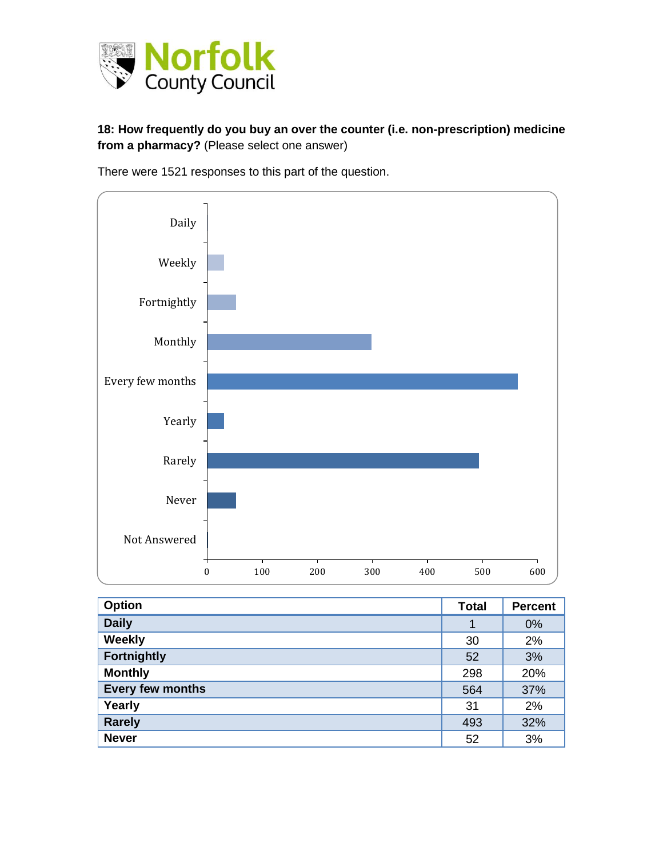

#### **18: How frequently do you buy an over the counter (i.e. non-prescription) medicine from a pharmacy?** (Please select one answer)

There were 1521 responses to this part of the question.



| <b>Option</b>      | <b>Total</b> | <b>Percent</b> |
|--------------------|--------------|----------------|
| <b>Daily</b>       | 1            | 0%             |
| Weekly             | 30           | 2%             |
| <b>Fortnightly</b> | 52           | 3%             |
| <b>Monthly</b>     | 298          | 20%            |
| Every few months   | 564          | 37%            |
| Yearly             | 31           | 2%             |
| <b>Rarely</b>      | 493          | 32%            |
| <b>Never</b>       | 52           | 3%             |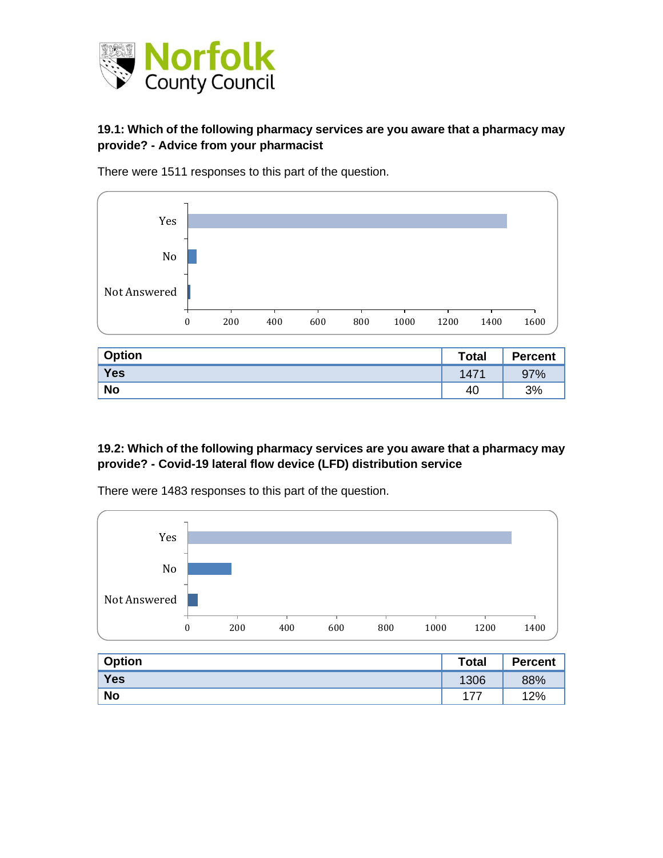

#### **19.1: Which of the following pharmacy services are you aware that a pharmacy may provide? - Advice from your pharmacist**



There were 1511 responses to this part of the question.

| <b>Option</b> | <b>Total</b> | <b>Percent</b> |
|---------------|--------------|----------------|
| <b>Yes</b>    | 1471         | 97%            |
| <b>No</b>     | 40           | 3%             |

#### **19.2: Which of the following pharmacy services are you aware that a pharmacy may provide? - Covid-19 lateral flow device (LFD) distribution service**



There were 1483 responses to this part of the question.

| <b>Option</b> | <b>Total</b> | <b>Percent</b> |
|---------------|--------------|----------------|
| Yes           | 1306         | 88%            |
| <b>No</b>     | フフ           | 12%            |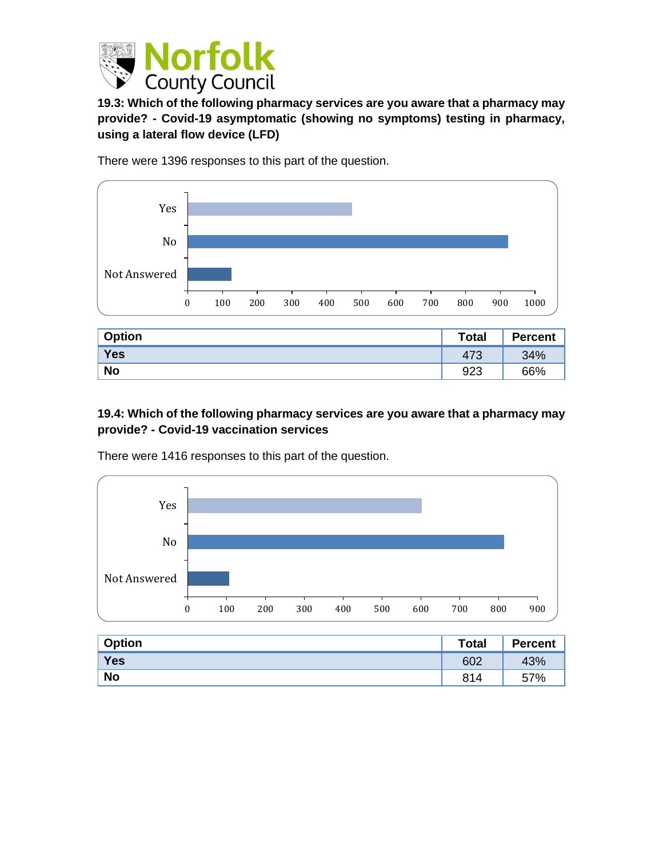

**19.3: Which of the following pharmacy services are you aware that a pharmacy may provide? - Covid-19 asymptomatic (showing no symptoms) testing in pharmacy, using a lateral flow device (LFD)**

There were 1396 responses to this part of the question.



| <b>Option</b> | <b>Total</b> | <b>Percent</b> |
|---------------|--------------|----------------|
| Yes           | 473          | 34%            |
| <b>No</b>     | 923          | 66%            |

#### **19.4: Which of the following pharmacy services are you aware that a pharmacy may provide? - Covid-19 vaccination services**



There were 1416 responses to this part of the question.

| <b>Option</b> | <b>Total</b> | <b>Percent</b> |
|---------------|--------------|----------------|
| Yes           | 602          | 43%            |
| <b>No</b>     | 814          | 57%            |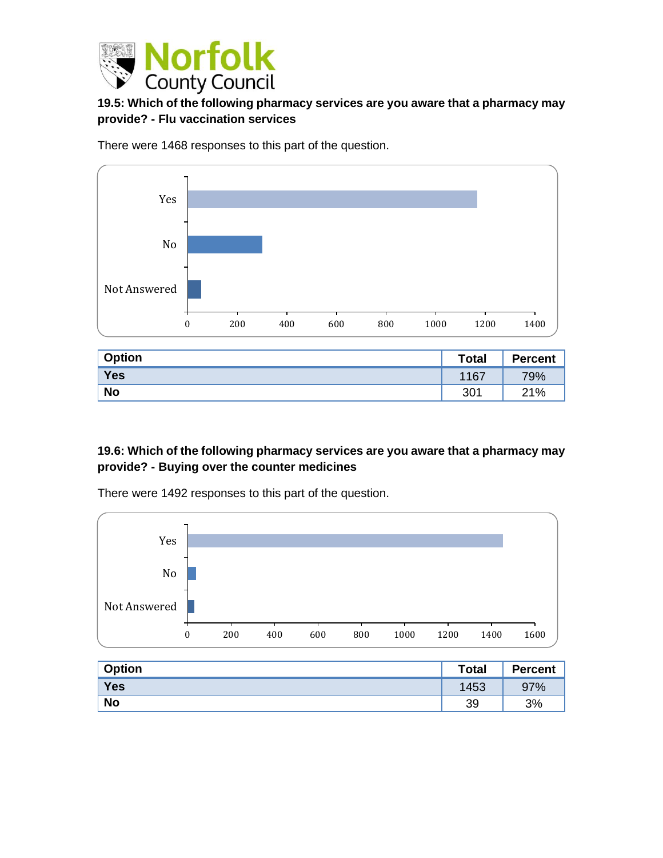

#### **19.5: Which of the following pharmacy services are you aware that a pharmacy may provide? - Flu vaccination services**

There were 1468 responses to this part of the question.



| <b>Option</b> | <b>Total</b> | <b>Percent</b> |
|---------------|--------------|----------------|
| <b>Yes</b>    | 1167         | 79%            |
| <b>No</b>     | 301          | 21%            |

#### **19.6: Which of the following pharmacy services are you aware that a pharmacy may provide? - Buying over the counter medicines**



There were 1492 responses to this part of the question.

| <b>Option</b> | <b>Total</b> | <b>Percent</b> |
|---------------|--------------|----------------|
| Yes           | 1453         | 97%            |
| <b>No</b>     | 39           | 3%             |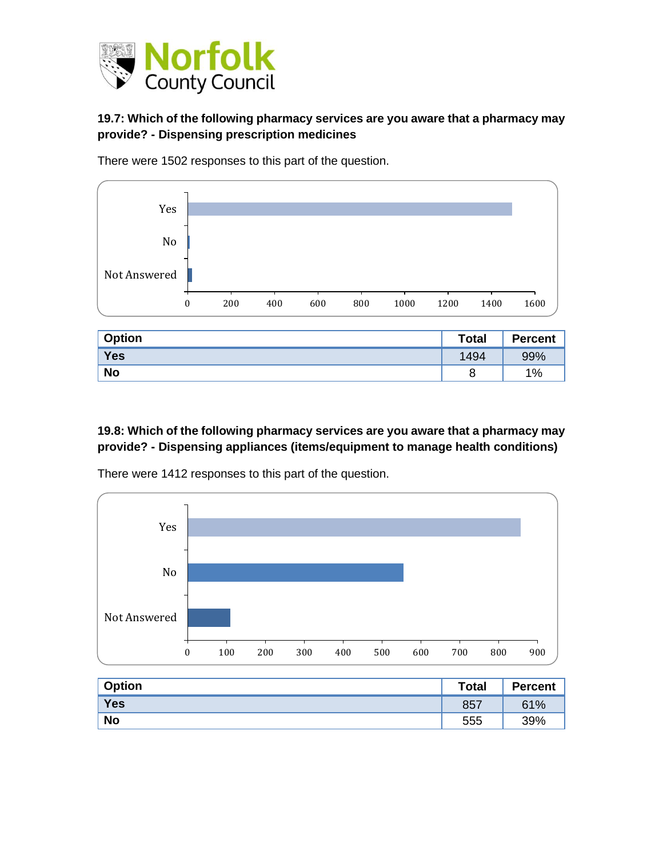

## **19.7: Which of the following pharmacy services are you aware that a pharmacy may provide? - Dispensing prescription medicines**





| <b>Option</b> | <b>Total</b> | <b>Percent</b> |
|---------------|--------------|----------------|
| Yes           | 1494         | 99%            |
| <b>No</b>     | o            | 1%             |

#### **19.8: Which of the following pharmacy services are you aware that a pharmacy may provide? - Dispensing appliances (items/equipment to manage health conditions)**



There were 1412 responses to this part of the question.

| Option     | <b>Total</b> | <b>Percent</b> |
|------------|--------------|----------------|
| <b>Yes</b> | 857          | 61%            |
| <b>No</b>  | 555          | 39%            |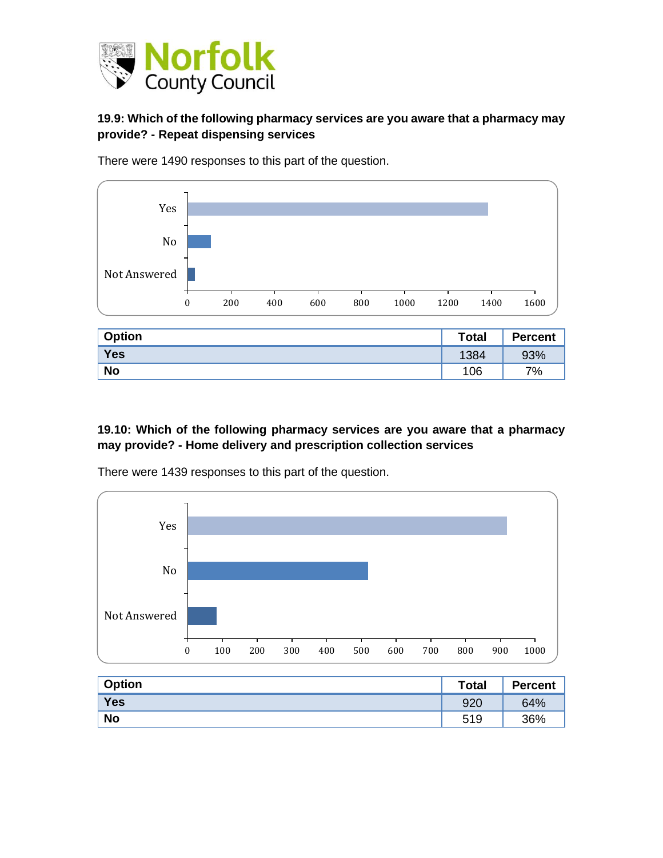

## **19.9: Which of the following pharmacy services are you aware that a pharmacy may provide? - Repeat dispensing services**



There were 1490 responses to this part of the question.

| <b>Option</b> | <b>Total</b> | <b>Percent</b> |
|---------------|--------------|----------------|
| Yes           | 1384         | 93%            |
| <b>No</b>     | 106          | 7%             |

#### **19.10: Which of the following pharmacy services are you aware that a pharmacy may provide? - Home delivery and prescription collection services**



There were 1439 responses to this part of the question.

| <b>Option</b> | <b>Total</b> | <b>Percent</b> |
|---------------|--------------|----------------|
| Yes           | 920          | 64%            |
| <b>No</b>     | 519          | 36%            |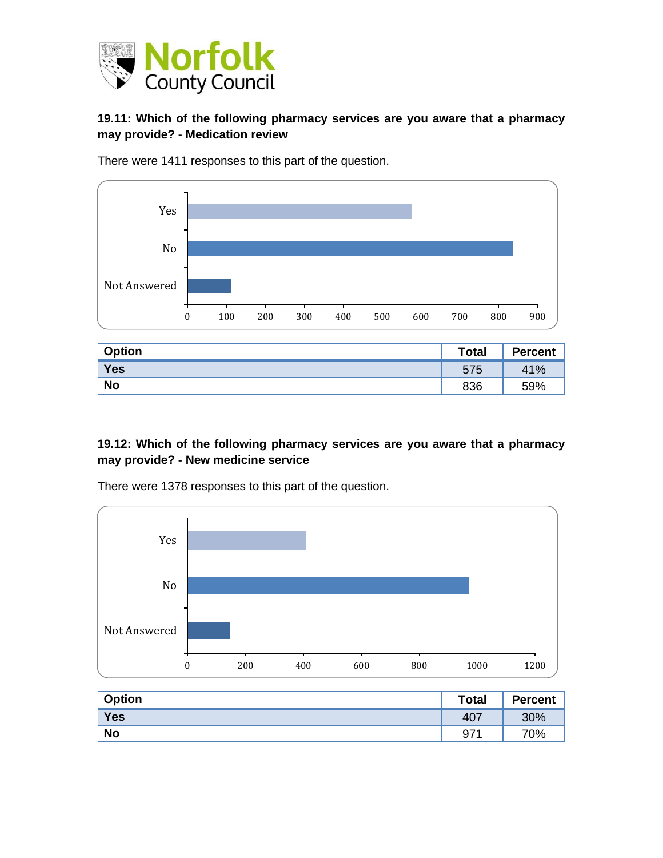

#### **19.11: Which of the following pharmacy services are you aware that a pharmacy may provide? - Medication review**



There were 1411 responses to this part of the question.

| <b>Option</b> | <b>Total</b> | <b>Percent</b> |
|---------------|--------------|----------------|
| Yes           | 575          | 41%            |
| <b>No</b>     | 836          | 59%            |

#### **19.12: Which of the following pharmacy services are you aware that a pharmacy may provide? - New medicine service**



There were 1378 responses to this part of the question.

| <b>Option</b> | Total                   | <b>Percent</b> |
|---------------|-------------------------|----------------|
| Yes           | 407                     | 30%            |
| <b>No</b>     | <b>074</b><br><u>v1</u> | 70%            |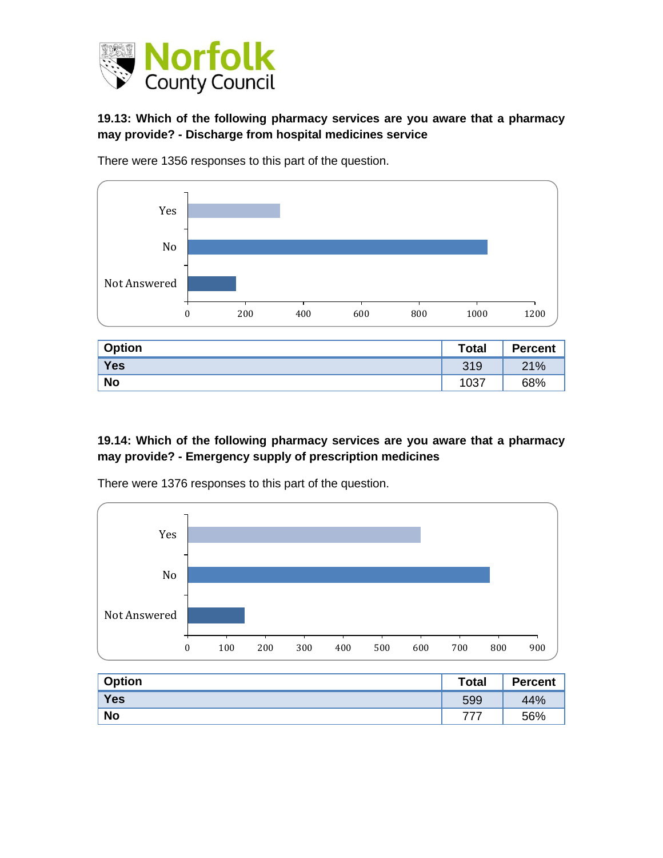

#### **19.13: Which of the following pharmacy services are you aware that a pharmacy may provide? - Discharge from hospital medicines service**



There were 1356 responses to this part of the question.

| <b>Option</b> | <b>Total</b> | <b>Percent</b> |
|---------------|--------------|----------------|
| Yes           | 319          | 21%            |
| <b>No</b>     | 1037         | 68%            |

#### **19.14: Which of the following pharmacy services are you aware that a pharmacy may provide? - Emergency supply of prescription medicines**



There were 1376 responses to this part of the question.

| Option     | <b>Total</b> | <b>Percent</b> |
|------------|--------------|----------------|
| <b>Yes</b> | 599          | 44%            |
| <b>No</b>  | ラララ          | 56%            |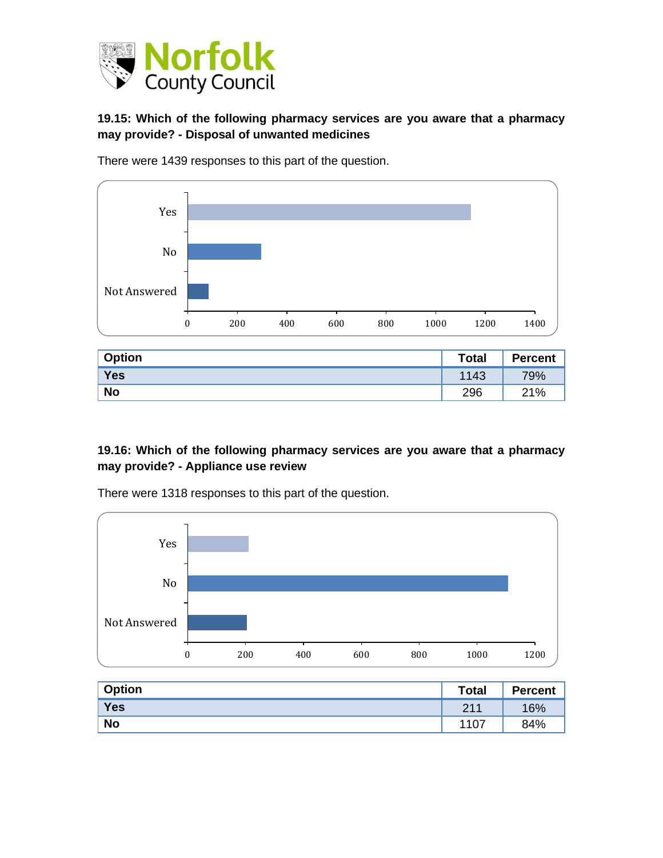

## **19.15: Which of the following pharmacy services are you aware that a pharmacy may provide? - Disposal of unwanted medicines**



There were 1439 responses to this part of the question.

| <b>Option</b> | <b>Total</b> | <b>Percent</b> |
|---------------|--------------|----------------|
| <b>Yes</b>    | 1143         | 79%            |
| <b>No</b>     | 296          | 21%            |

#### **19.16: Which of the following pharmacy services are you aware that a pharmacy may provide? - Appliance use review**



There were 1318 responses to this part of the question.

| <b>Option</b> | <b>Total</b> | <b>Percent</b> |
|---------------|--------------|----------------|
| Yes           | 211          | 16%            |
| <b>No</b>     | 1107         | 84%            |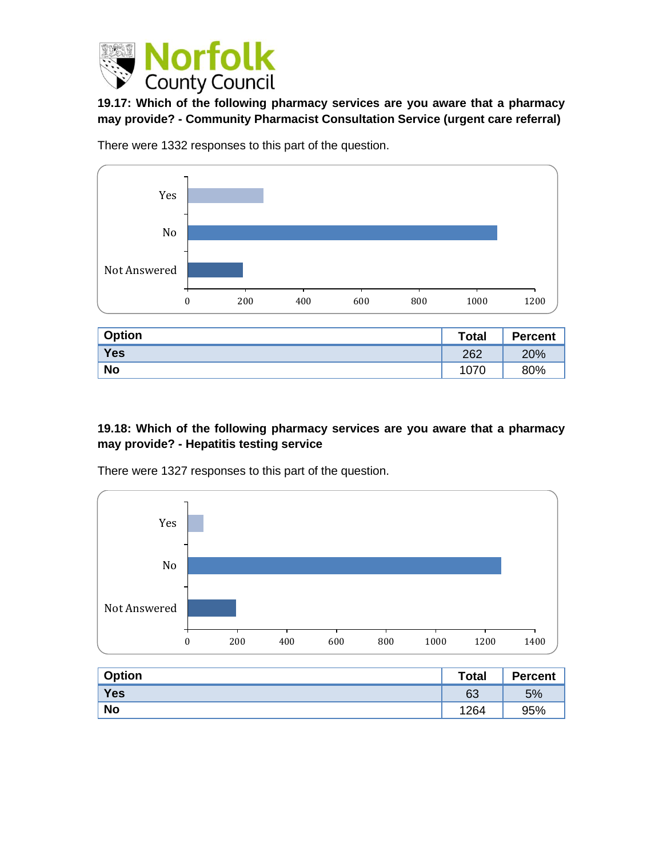

**19.17: Which of the following pharmacy services are you aware that a pharmacy may provide? - Community Pharmacist Consultation Service (urgent care referral)**



There were 1332 responses to this part of the question.

| <b>Option</b> | <b>Total</b> | <b>Percent</b> |
|---------------|--------------|----------------|
| Yes           | 262          | 20%            |
| <b>No</b>     | 1070         | 80%            |

#### **19.18: Which of the following pharmacy services are you aware that a pharmacy may provide? - Hepatitis testing service**



There were 1327 responses to this part of the question.

| <b>Option</b> | <b>Total</b> | <b>Percent</b> |
|---------------|--------------|----------------|
| Yes           | 63           | 5%             |
| <b>No</b>     | 1264         | 95%            |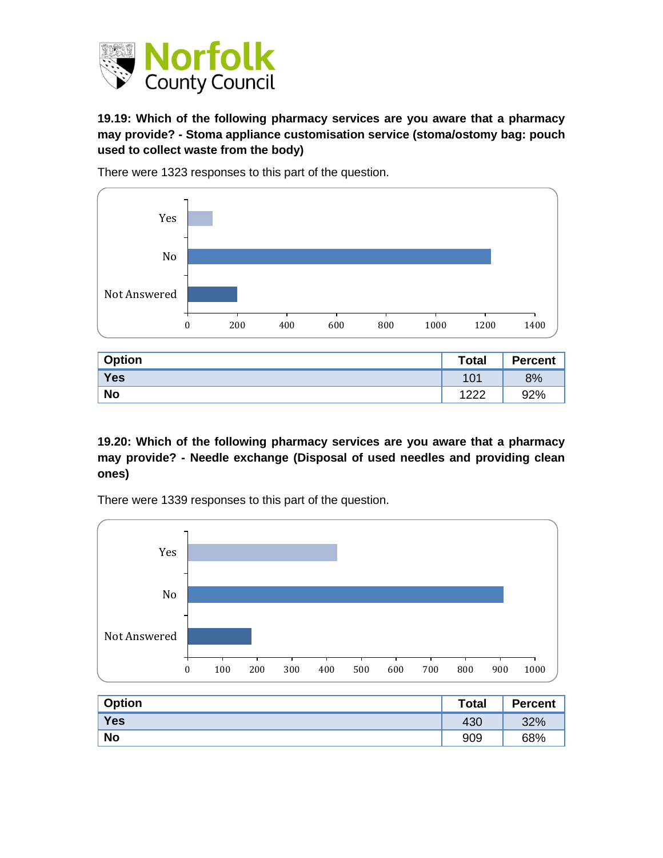

### **19.19: Which of the following pharmacy services are you aware that a pharmacy may provide? - Stoma appliance customisation service (stoma/ostomy bag: pouch used to collect waste from the body)**



There were 1323 responses to this part of the question.

| <b>Option</b> | <b>Total</b> | <b>Percent</b> |
|---------------|--------------|----------------|
| <b>Yes</b>    | 101          | 8%             |
| <b>No</b>     | ィっつつ         | 92%            |

**19.20: Which of the following pharmacy services are you aware that a pharmacy may provide? - Needle exchange (Disposal of used needles and providing clean ones)**

There were 1339 responses to this part of the question.



| <b>Option</b> | <b>Total</b> | <b>Percent</b> |
|---------------|--------------|----------------|
| <b>Yes</b>    | 430          | 32%            |
| <b>No</b>     | 909          | 68%            |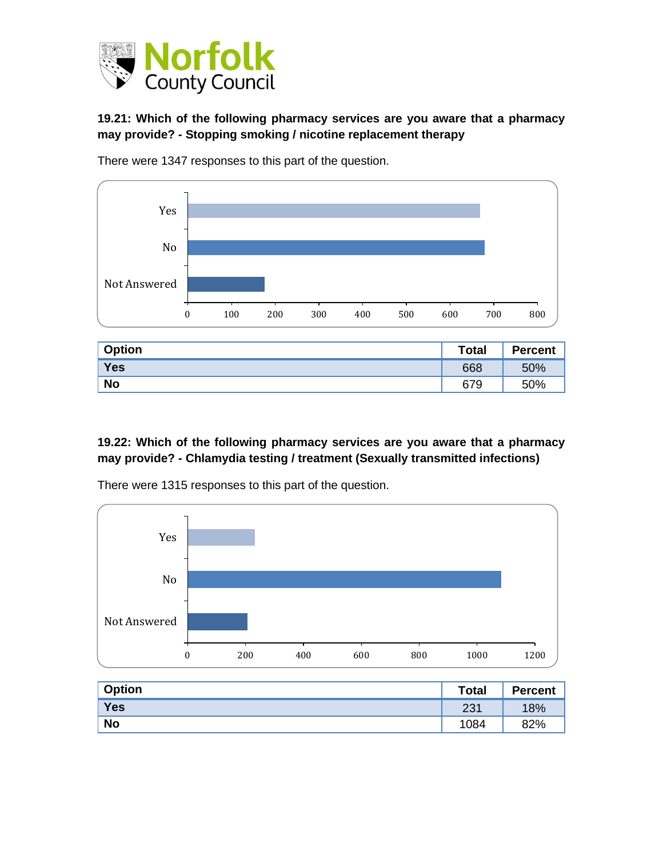

### **19.21: Which of the following pharmacy services are you aware that a pharmacy may provide? - Stopping smoking / nicotine replacement therapy**



There were 1347 responses to this part of the question.

| <b>Option</b> | <b>Total</b> | <b>Percent</b> |
|---------------|--------------|----------------|
| Yes           | 668          | 50%            |
| <b>No</b>     | 679          | 50%            |

#### **19.22: Which of the following pharmacy services are you aware that a pharmacy may provide? - Chlamydia testing / treatment (Sexually transmitted infections)**



There were 1315 responses to this part of the question.

| <b>Option</b> | <b>Total</b> | <b>Percent</b> |
|---------------|--------------|----------------|
| Yes           | 231          | 18%            |
| <b>No</b>     | 1084         | 82%            |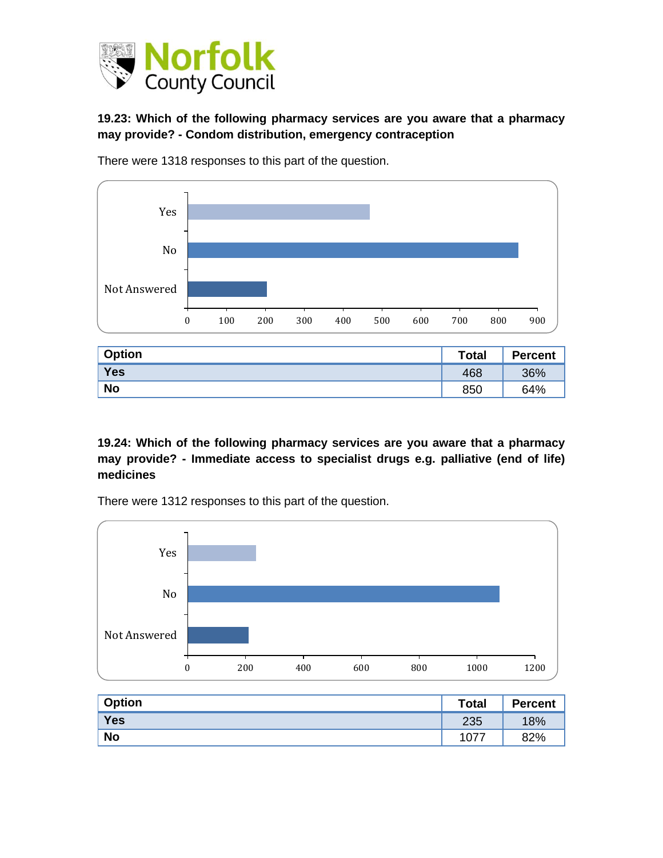

#### **19.23: Which of the following pharmacy services are you aware that a pharmacy may provide? - Condom distribution, emergency contraception**



There were 1318 responses to this part of the question.

| Option    | <b>Total</b> | <b>Percent</b> |
|-----------|--------------|----------------|
| Yes       | 468          | 36%            |
| <b>No</b> | 850          | 64%            |

**19.24: Which of the following pharmacy services are you aware that a pharmacy may provide? - Immediate access to specialist drugs e.g. palliative (end of life) medicines**

There were 1312 responses to this part of the question.



| <b>Option</b> | <b>Total</b> | <b>Percent</b> |
|---------------|--------------|----------------|
| Yes           | 235          | 18%            |
| <b>No</b>     | A.           | 82%            |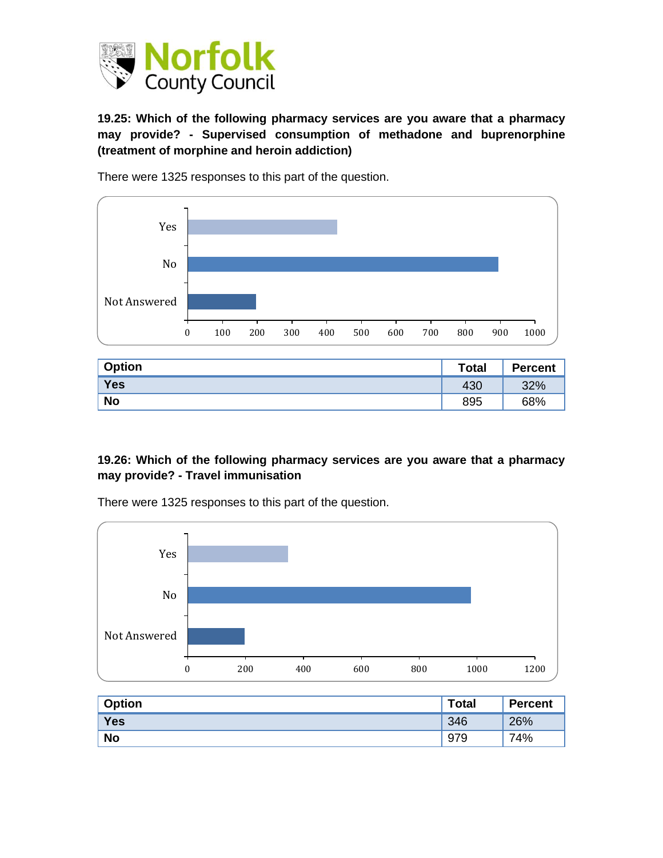

**19.25: Which of the following pharmacy services are you aware that a pharmacy may provide? - Supervised consumption of methadone and buprenorphine (treatment of morphine and heroin addiction)**



There were 1325 responses to this part of the question.

| <b>Option</b> | <b>Total</b> | <b>Percent</b> |
|---------------|--------------|----------------|
| Yes           | 430          | 32%            |
| <b>No</b>     | 895          | 68%            |

#### **19.26: Which of the following pharmacy services are you aware that a pharmacy may provide? - Travel immunisation**

0 200 400 600 800 1000 1200 Not Answered No Yes

There were 1325 responses to this part of the question.

| <b>Option</b> | <b>Total</b> | <b>Percent</b> |
|---------------|--------------|----------------|
| Yes           | 346          | 26%            |
| <b>No</b>     | 979          | 74%            |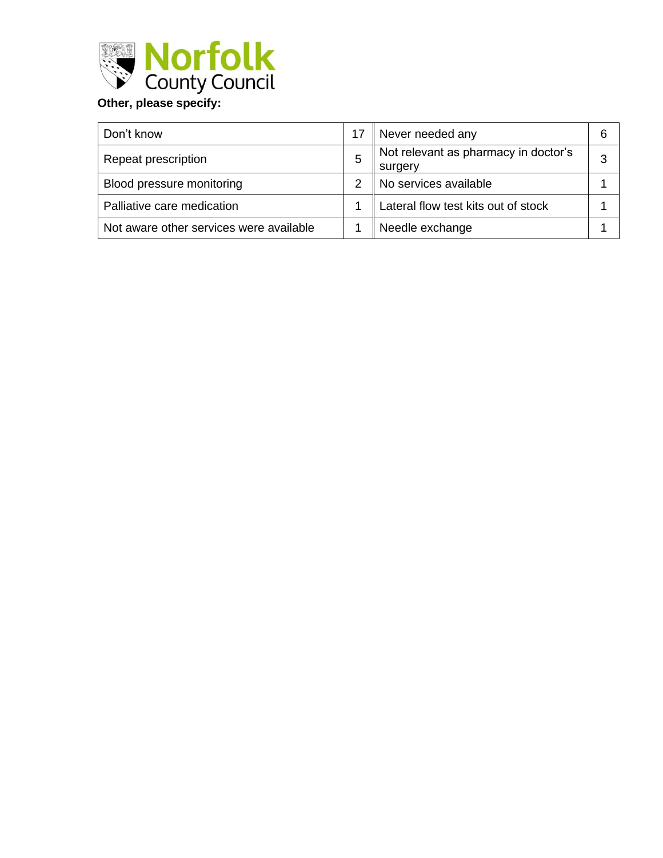

| Don't know                              |   | Never needed any                                | 6 |
|-----------------------------------------|---|-------------------------------------------------|---|
| Repeat prescription                     | 5 | Not relevant as pharmacy in doctor's<br>surgery | 3 |
| Blood pressure monitoring               |   | No services available                           |   |
| Palliative care medication              |   | Lateral flow test kits out of stock             |   |
| Not aware other services were available |   | Needle exchange                                 |   |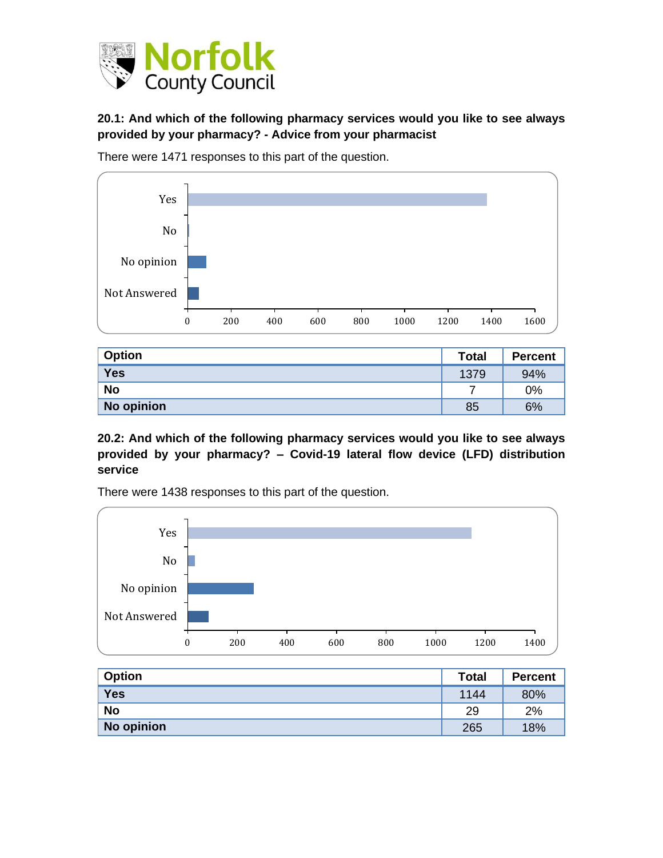

### **20.1: And which of the following pharmacy services would you like to see always provided by your pharmacy? - Advice from your pharmacist**

There were 1471 responses to this part of the question.



| <b>Option</b> | <b>Total</b> | <b>Percent</b> |
|---------------|--------------|----------------|
| <b>Yes</b>    | 1379         | 94%            |
| <b>No</b>     |              | 0%             |
| No opinion    | 85           | 6%             |

**20.2: And which of the following pharmacy services would you like to see always provided by your pharmacy? – Covid-19 lateral flow device (LFD) distribution service**

There were 1438 responses to this part of the question.



| <b>Option</b> | <b>Total</b> | <b>Percent</b> |
|---------------|--------------|----------------|
| <b>Yes</b>    | 1144         | 80%            |
| <b>No</b>     | 29           | 2%             |
| No opinion    | 265          | 18%            |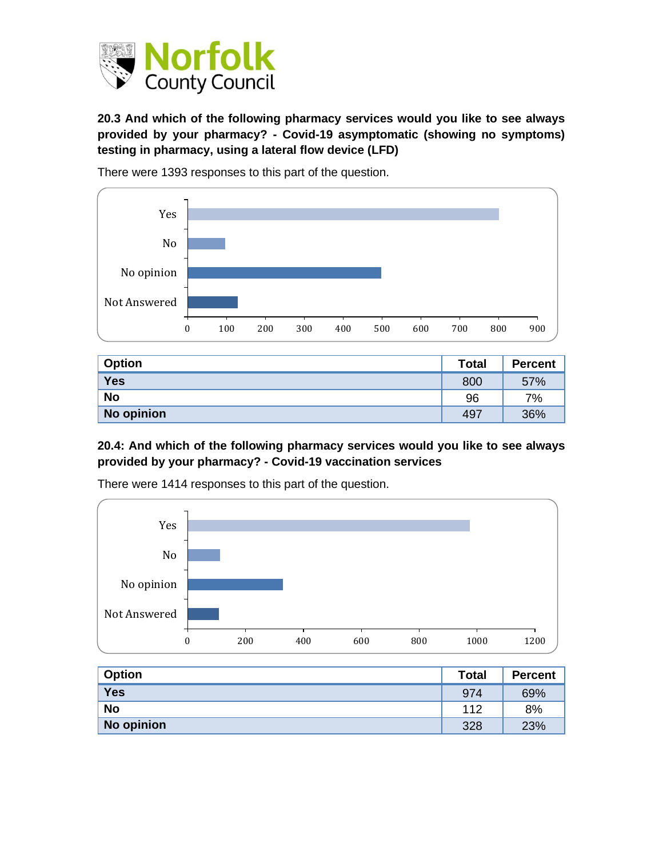

**20.3 And which of the following pharmacy services would you like to see always provided by your pharmacy? - Covid-19 asymptomatic (showing no symptoms) testing in pharmacy, using a lateral flow device (LFD)**



There were 1393 responses to this part of the question.

| <b>Option</b> | <b>Total</b> | <b>Percent</b> |
|---------------|--------------|----------------|
| <b>Yes</b>    | 800          | 57%            |
| <b>No</b>     | 96           | 7%             |
| No opinion    | 497          | 36%            |

#### **20.4: And which of the following pharmacy services would you like to see always provided by your pharmacy? - Covid-19 vaccination services**



There were 1414 responses to this part of the question.

| <b>Option</b> | <b>Total</b> | <b>Percent</b> |
|---------------|--------------|----------------|
| <b>Yes</b>    | 974          | 69%            |
| <b>No</b>     | 112          | 8%             |
| No opinion    | 328          | 23%            |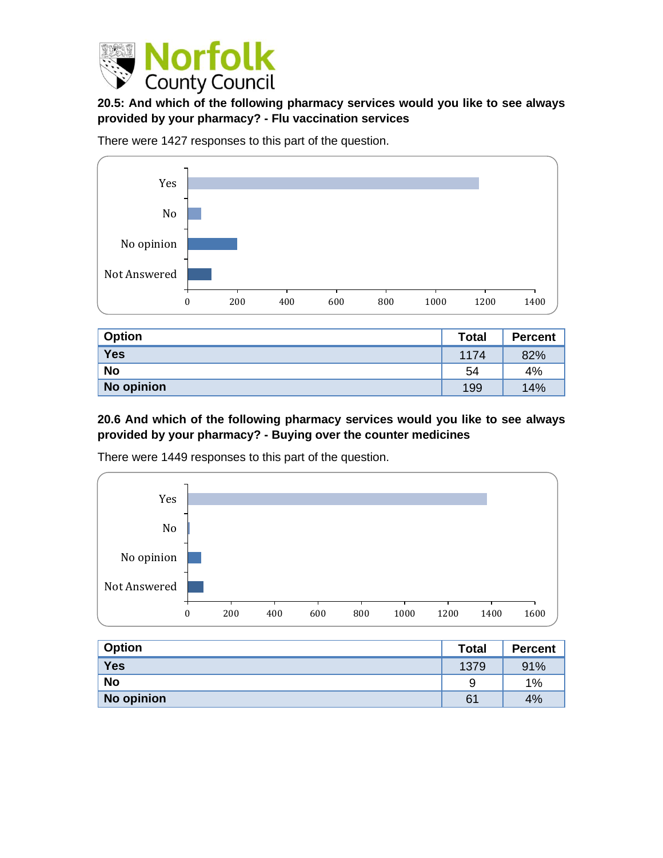

## **20.5: And which of the following pharmacy services would you like to see always provided by your pharmacy? - Flu vaccination services**

There were 1427 responses to this part of the question.



| <b>Option</b> | <b>Total</b> | <b>Percent</b> |
|---------------|--------------|----------------|
| <b>Yes</b>    | 1174         | 82%            |
| <b>No</b>     | 54           | 4%             |
| No opinion    | 199          | 14%            |

#### **20.6 And which of the following pharmacy services would you like to see always provided by your pharmacy? - Buying over the counter medicines**



There were 1449 responses to this part of the question.

| <b>Option</b> | <b>Total</b> | <b>Percent</b> |
|---------------|--------------|----------------|
| <b>Yes</b>    | 1379         | 91%            |
| <b>No</b>     | 9            | 1%             |
| No opinion    | 61           | 4%             |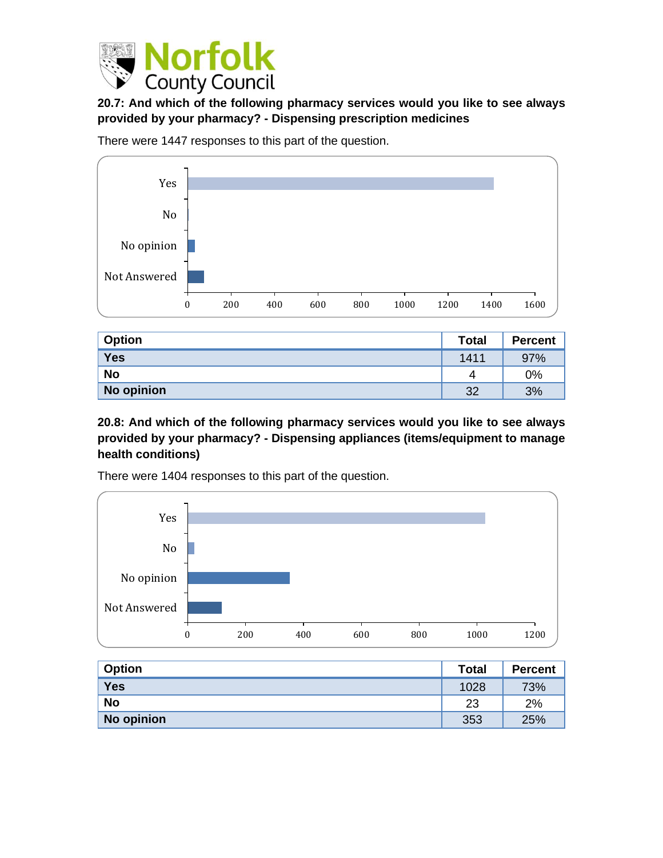

**20.7: And which of the following pharmacy services would you like to see always provided by your pharmacy? - Dispensing prescription medicines**

There were 1447 responses to this part of the question.



| <b>Option</b> | <b>Total</b> | <b>Percent</b> |
|---------------|--------------|----------------|
| <b>Yes</b>    | 1411         | 97%            |
| <b>No</b>     | 4            | 0%             |
| No opinion    | 32           | 3%             |

**20.8: And which of the following pharmacy services would you like to see always provided by your pharmacy? - Dispensing appliances (items/equipment to manage health conditions)**



There were 1404 responses to this part of the question.

| <b>Option</b> | <b>Total</b> | <b>Percent</b> |
|---------------|--------------|----------------|
| <b>Yes</b>    | 1028         | 73%            |
| <b>No</b>     | 23           | 2%             |
| No opinion    | 353          | 25%            |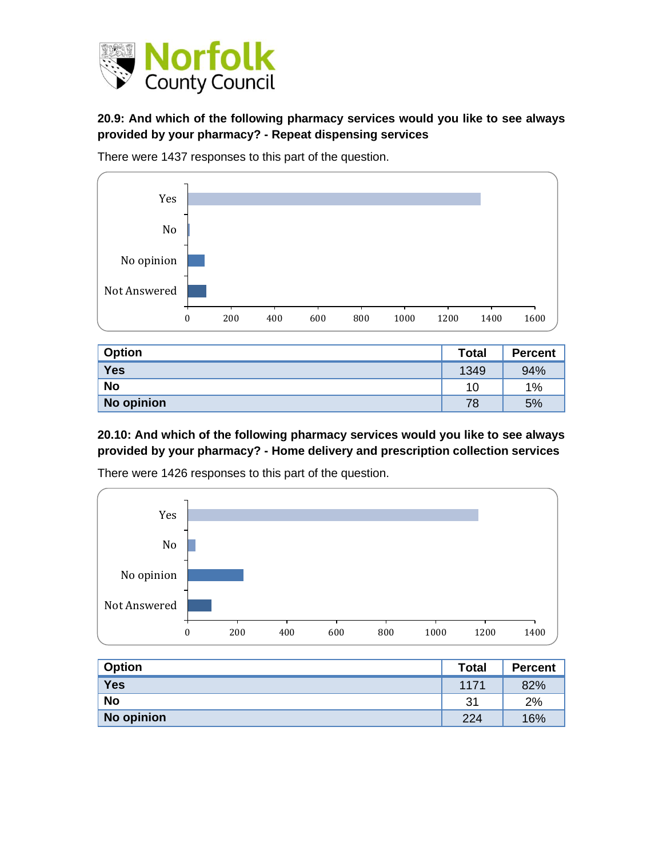

### **20.9: And which of the following pharmacy services would you like to see always provided by your pharmacy? - Repeat dispensing services**

There were 1437 responses to this part of the question.



| <b>Option</b> | <b>Total</b> | <b>Percent</b> |
|---------------|--------------|----------------|
| <b>Yes</b>    | 1349         | 94%            |
| <b>No</b>     | 10           | 1%             |
| No opinion    | 78           | 5%             |

**20.10: And which of the following pharmacy services would you like to see always provided by your pharmacy? - Home delivery and prescription collection services**



There were 1426 responses to this part of the question.

| <b>Option</b> | <b>Total</b> | <b>Percent</b> |
|---------------|--------------|----------------|
| <b>Yes</b>    | 1171         | 82%            |
| <b>No</b>     | 31           | 2%             |
| No opinion    | 224          | 16%            |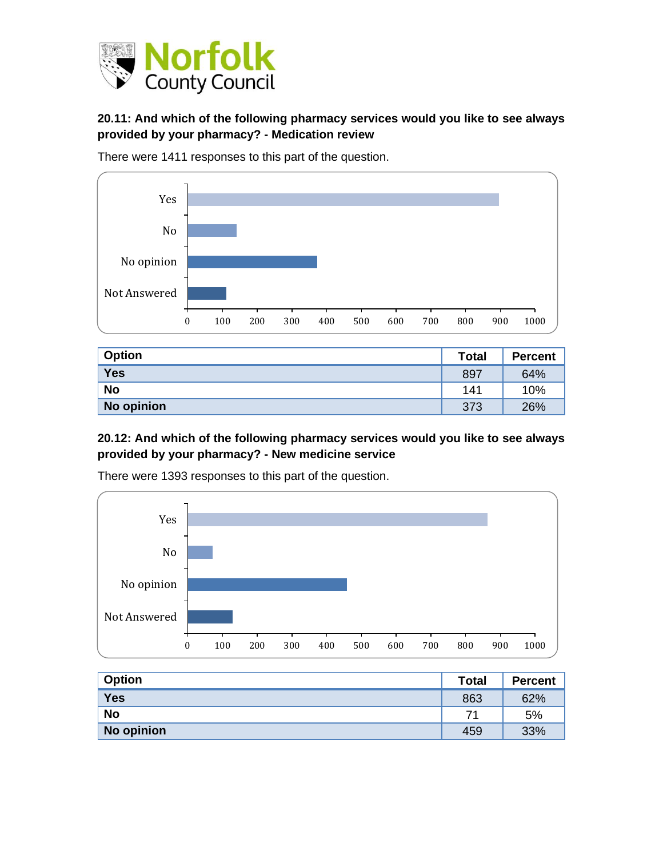

#### **20.11: And which of the following pharmacy services would you like to see always provided by your pharmacy? - Medication review**

There were 1411 responses to this part of the question.



| <b>Option</b> | <b>Total</b> | <b>Percent</b> |
|---------------|--------------|----------------|
| Yes           | 897          | 64%            |
| <b>No</b>     | 141          | 10%            |
| No opinion    | 373          | 26%            |

#### **20.12: And which of the following pharmacy services would you like to see always provided by your pharmacy? - New medicine service**



There were 1393 responses to this part of the question.

| <b>Option</b> | <b>Total</b> | <b>Percent</b> |
|---------------|--------------|----------------|
| <b>Yes</b>    | 863          | 62%            |
| <b>No</b>     | 71           | 5%             |
| No opinion    | 459          | 33%            |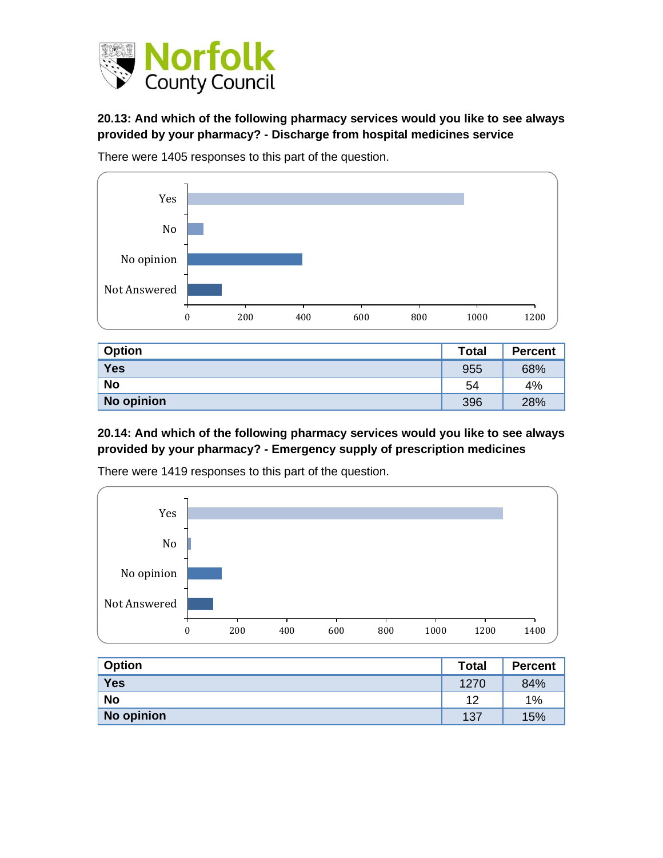

**20.13: And which of the following pharmacy services would you like to see always provided by your pharmacy? - Discharge from hospital medicines service**

There were 1405 responses to this part of the question.



| <b>Option</b> | <b>Total</b> | <b>Percent</b> |
|---------------|--------------|----------------|
| <b>Yes</b>    | 955          | 68%            |
| <b>No</b>     | 54           | 4%             |
| No opinion    | 396          | 28%            |

### **20.14: And which of the following pharmacy services would you like to see always provided by your pharmacy? - Emergency supply of prescription medicines**



There were 1419 responses to this part of the question.

| <b>Option</b> | <b>Total</b> | <b>Percent</b> |
|---------------|--------------|----------------|
| <b>Yes</b>    | 1270         | 84%            |
| <b>No</b>     | 12           | 1%             |
| No opinion    | 137          | 15%            |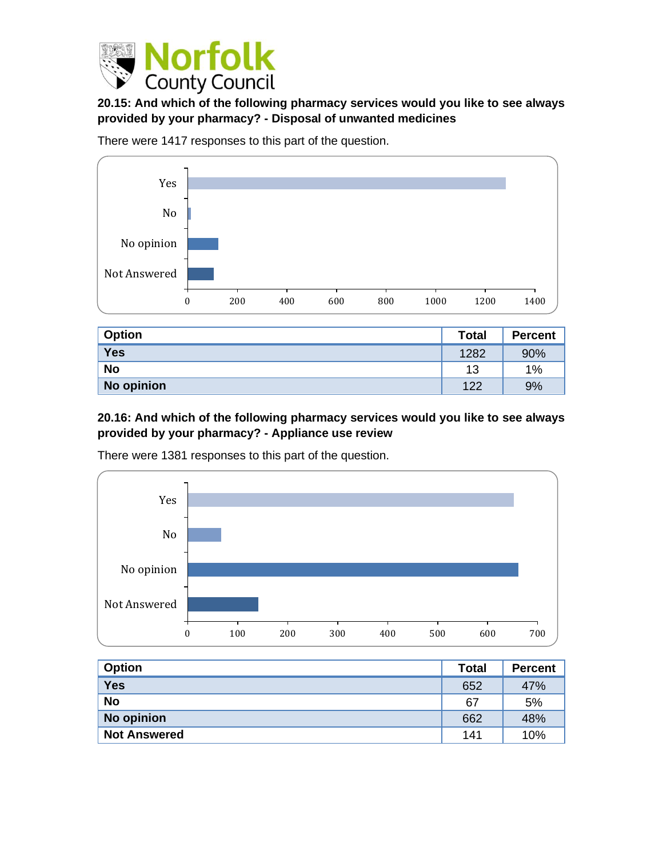

**20.15: And which of the following pharmacy services would you like to see always provided by your pharmacy? - Disposal of unwanted medicines**

There were 1417 responses to this part of the question.



| <b>Option</b> | <b>Total</b> | <b>Percent</b> |
|---------------|--------------|----------------|
| <b>Yes</b>    | 1282         | 90%            |
| <b>No</b>     | 13           | 1%             |
| No opinion    | 122          | 9%             |

#### **20.16: And which of the following pharmacy services would you like to see always provided by your pharmacy? - Appliance use review**



There were 1381 responses to this part of the question.

| <b>Option</b>       | <b>Total</b> | <b>Percent</b> |
|---------------------|--------------|----------------|
| <b>Yes</b>          | 652          | 47%            |
| <b>No</b>           | 67           | 5%             |
| No opinion          | 662          | 48%            |
| <b>Not Answered</b> | 141          | 10%            |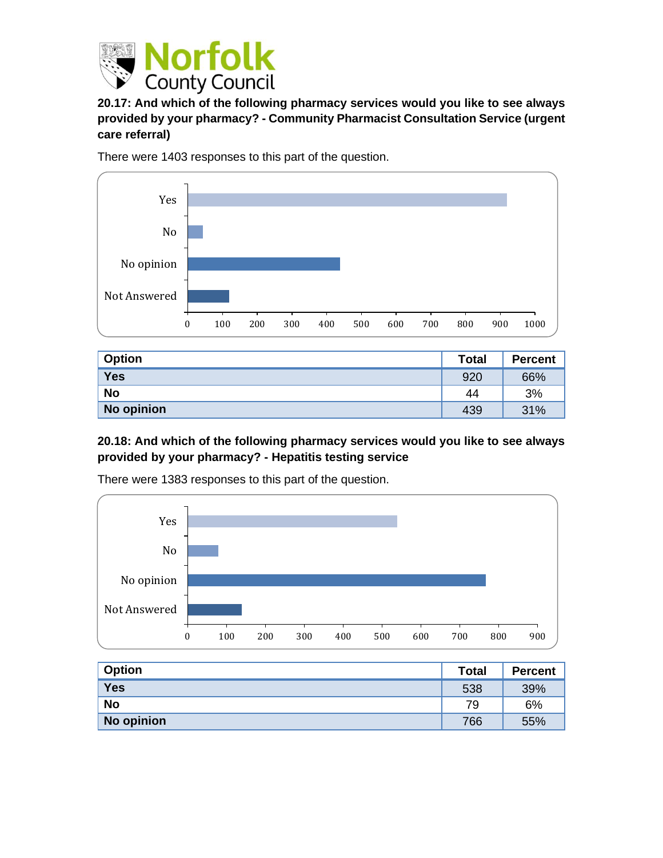

**20.17: And which of the following pharmacy services would you like to see always provided by your pharmacy? - Community Pharmacist Consultation Service (urgent care referral)**

There were 1403 responses to this part of the question.



| <b>Option</b> | <b>Total</b> | <b>Percent</b> |
|---------------|--------------|----------------|
| <b>Yes</b>    | 920          | 66%            |
| <b>No</b>     | 44           | 3%             |
| No opinion    | 439          | 31%            |

#### **20.18: And which of the following pharmacy services would you like to see always provided by your pharmacy? - Hepatitis testing service**



There were 1383 responses to this part of the question.

| <b>Option</b> | <b>Total</b> | <b>Percent</b> |
|---------------|--------------|----------------|
| <b>Yes</b>    | 538          | 39%            |
| <b>No</b>     | 79           | 6%             |
| No opinion    | 766          | 55%            |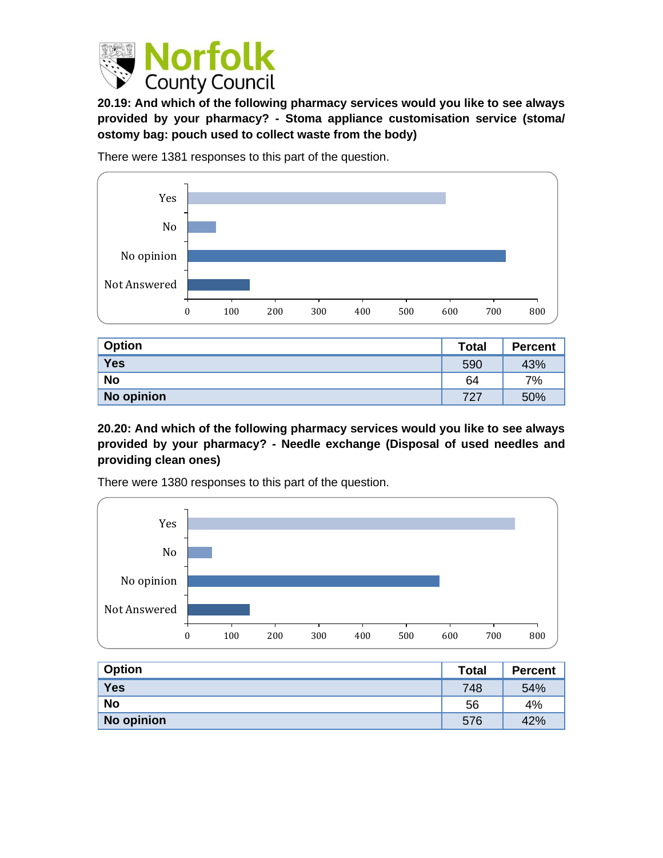

**20.19: And which of the following pharmacy services would you like to see always provided by your pharmacy? - Stoma appliance customisation service (stoma/ ostomy bag: pouch used to collect waste from the body)**



There were 1381 responses to this part of the question.

| <b>Option</b> | <b>Total</b> | <b>Percent</b> |
|---------------|--------------|----------------|
| <b>Yes</b>    | 590          | 43%            |
| <b>No</b>     | 64           | 7%             |
| No opinion    | 727          | 50%            |

**20.20: And which of the following pharmacy services would you like to see always provided by your pharmacy? - Needle exchange (Disposal of used needles and providing clean ones)**



There were 1380 responses to this part of the question.

| <b>Option</b> | <b>Total</b> | <b>Percent</b> |
|---------------|--------------|----------------|
| <b>Yes</b>    | 748          | 54%            |
| <b>No</b>     | 56           | 4%             |
| No opinion    | 576          | 42%            |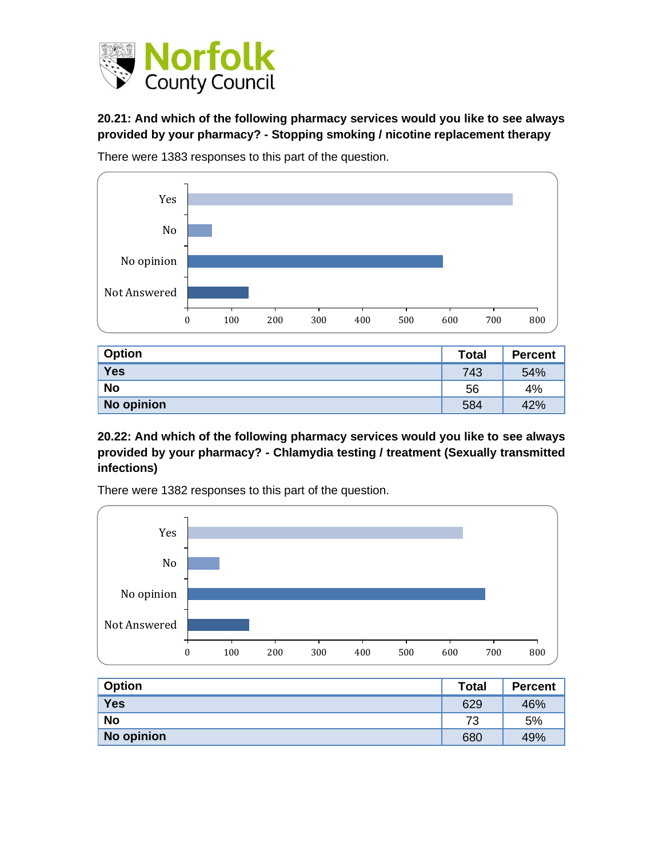

**20.21: And which of the following pharmacy services would you like to see always provided by your pharmacy? - Stopping smoking / nicotine replacement therapy**



There were 1383 responses to this part of the question.

| <b>Option</b> | <b>Total</b> | <b>Percent</b> |
|---------------|--------------|----------------|
| <b>Yes</b>    | 743          | 54%            |
| <b>No</b>     | 56           | 4%             |
| No opinion    | 584          | 42%            |

**20.22: And which of the following pharmacy services would you like to see always provided by your pharmacy? - Chlamydia testing / treatment (Sexually transmitted infections)**



There were 1382 responses to this part of the question.

| <b>Option</b> | <b>Total</b> | <b>Percent</b> |
|---------------|--------------|----------------|
| <b>Yes</b>    | 629          | 46%            |
| <b>No</b>     | 73           | 5%             |
| No opinion    | 680          | 49%            |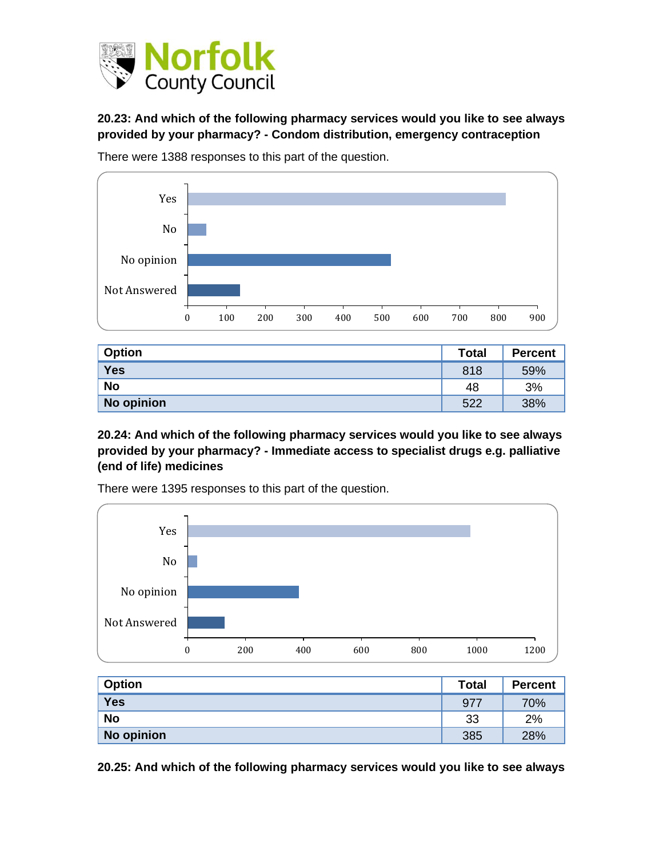

**20.23: And which of the following pharmacy services would you like to see always provided by your pharmacy? - Condom distribution, emergency contraception**



There were 1388 responses to this part of the question.

| <b>Option</b> | <b>Total</b> | <b>Percent</b> |
|---------------|--------------|----------------|
| <b>Yes</b>    | 818          | 59%            |
| <b>No</b>     | 48           | 3%             |
| No opinion    | 522          | 38%            |

**20.24: And which of the following pharmacy services would you like to see always provided by your pharmacy? - Immediate access to specialist drugs e.g. palliative (end of life) medicines**



There were 1395 responses to this part of the question.

| <b>Option</b> | <b>Total</b> | <b>Percent</b> |
|---------------|--------------|----------------|
| <b>Yes</b>    | 977          | 70%            |
| <b>No</b>     | 33           | 2%             |
| No opinion    | 385          | 28%            |

**20.25: And which of the following pharmacy services would you like to see always**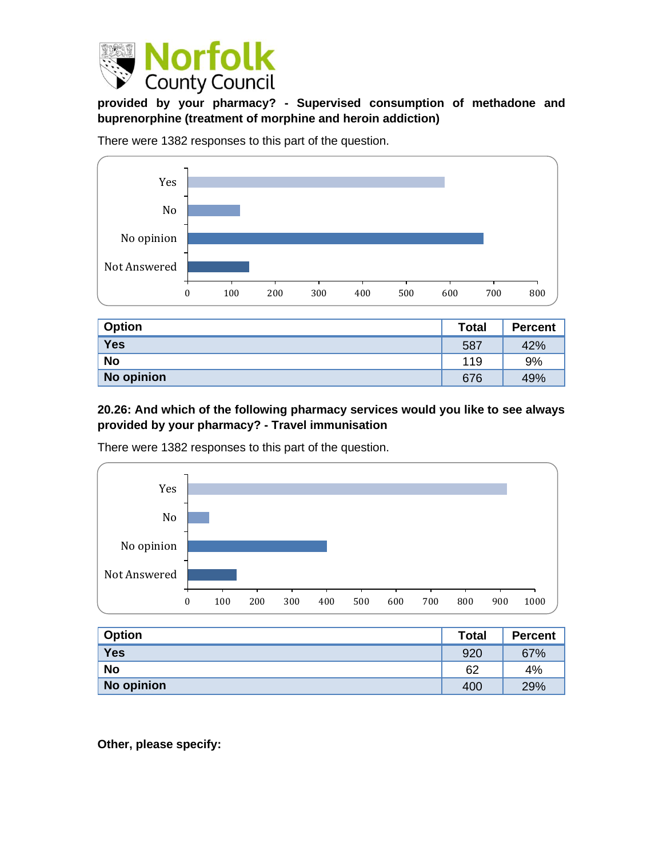

**provided by your pharmacy? - Supervised consumption of methadone and buprenorphine (treatment of morphine and heroin addiction)**

There were 1382 responses to this part of the question.



| <b>Option</b> | <b>Total</b> | <b>Percent</b> |
|---------------|--------------|----------------|
| <b>Yes</b>    | 587          | 42%            |
| <b>No</b>     | 119          | 9%             |
| No opinion    | 676          | 49%            |

**20.26: And which of the following pharmacy services would you like to see always provided by your pharmacy? - Travel immunisation**



There were 1382 responses to this part of the question.

| <b>Option</b> | <b>Total</b> | <b>Percent</b> |
|---------------|--------------|----------------|
| <b>Yes</b>    | 920          | 67%            |
| <b>No</b>     | 62           | 4%             |
| No opinion    | 400          | 29%            |

**Other, please specify:**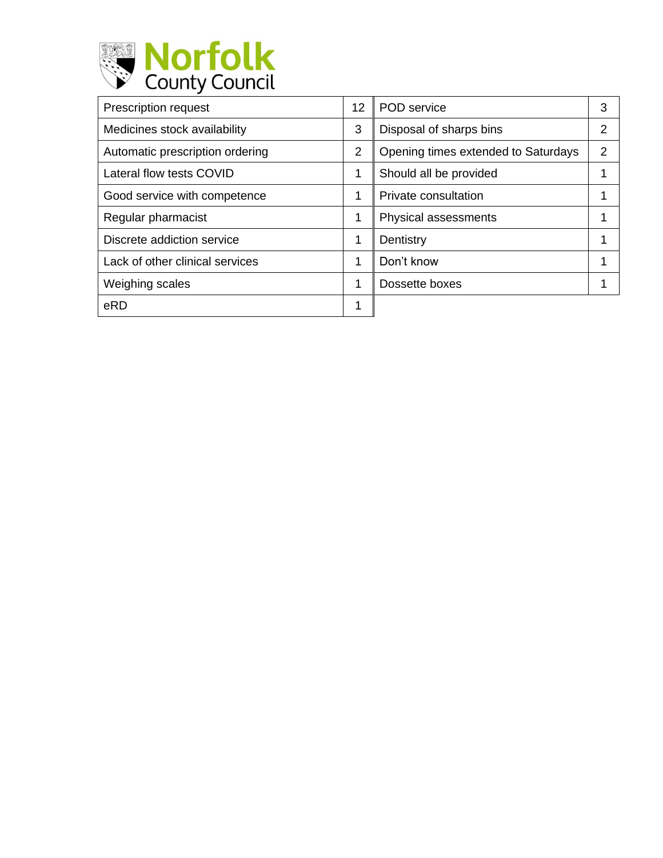

| <b>Prescription request</b>     | 12             | POD service                         | 3 |
|---------------------------------|----------------|-------------------------------------|---|
| Medicines stock availability    | 3              | Disposal of sharps bins             | 2 |
| Automatic prescription ordering | $\overline{2}$ | Opening times extended to Saturdays | 2 |
| Lateral flow tests COVID        | 1              | Should all be provided              |   |
| Good service with competence    |                | Private consultation                |   |
| Regular pharmacist              | 1              | Physical assessments                |   |
| Discrete addiction service      | 1              | Dentistry                           |   |
| Lack of other clinical services |                | Don't know                          |   |
| Weighing scales                 |                | Dossette boxes                      |   |
| eRD                             | 4              |                                     |   |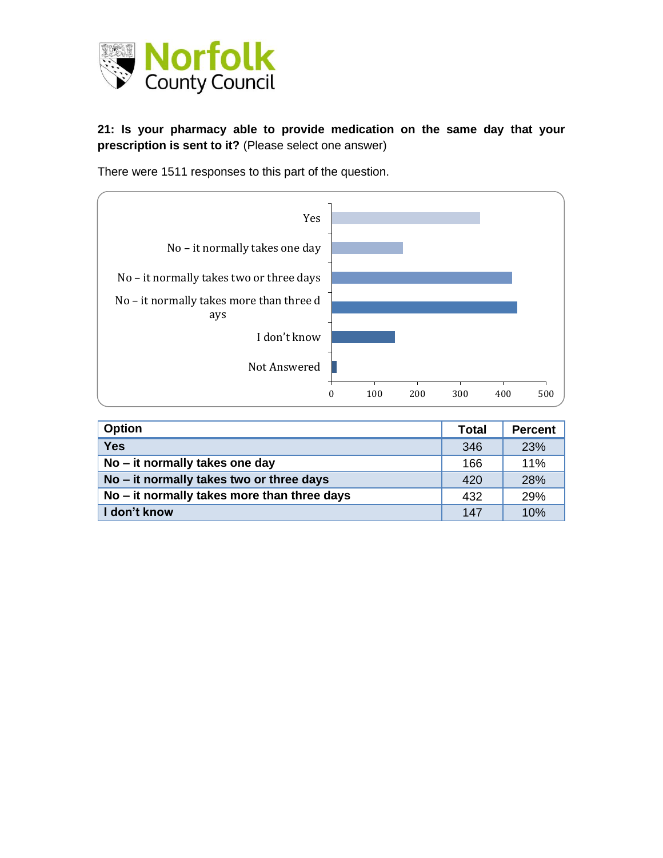

**21: Is your pharmacy able to provide medication on the same day that your prescription is sent to it?** (Please select one answer)

There were 1511 responses to this part of the question.



| <b>Option</b>                               | <b>Total</b> | <b>Percent</b> |
|---------------------------------------------|--------------|----------------|
| <b>Yes</b>                                  | 346          | 23%            |
| No – it normally takes one day              | 166          | 11%            |
| No – it normally takes two or three days    | 420          | 28%            |
| No – it normally takes more than three days | 432          | 29%            |
| I don't know                                | 147          | 10%            |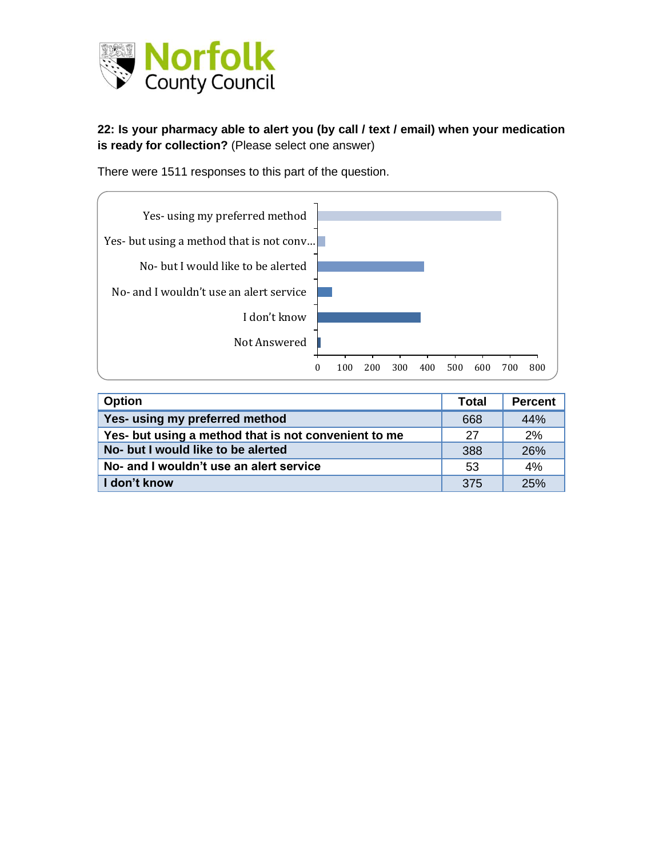

#### **22: Is your pharmacy able to alert you (by call / text / email) when your medication is ready for collection?** (Please select one answer)

There were 1511 responses to this part of the question.



| <b>Option</b>                                        | <b>Total</b> | <b>Percent</b> |
|------------------------------------------------------|--------------|----------------|
| Yes- using my preferred method                       | 668          | 44%            |
| Yes- but using a method that is not convenient to me | 27           | 2%             |
| No- but I would like to be alerted                   | 388          | 26%            |
| No- and I wouldn't use an alert service              | 53           | 4%             |
| I don't know                                         | 375          | 25%            |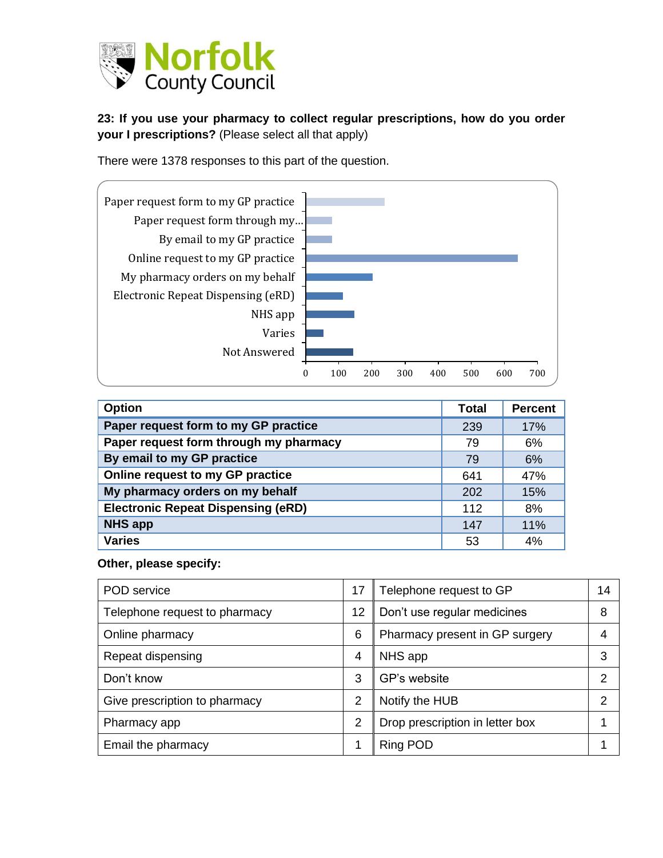

**23: If you use your pharmacy to collect regular prescriptions, how do you order your I prescriptions?** (Please select all that apply)

There were 1378 responses to this part of the question.



| <b>Option</b>                             | <b>Total</b> | <b>Percent</b> |
|-------------------------------------------|--------------|----------------|
| Paper request form to my GP practice      | 239          | 17%            |
| Paper request form through my pharmacy    | 79           | 6%             |
| By email to my GP practice                | 79           | 6%             |
| Online request to my GP practice          | 641          | 47%            |
| My pharmacy orders on my behalf           | 202          | 15%            |
| <b>Electronic Repeat Dispensing (eRD)</b> | 112          | 8%             |
| <b>NHS app</b>                            | 147          | 11%            |
| <b>Varies</b>                             | 53           | 4%             |

#### **Other, please specify:**

| POD service                   | 17             | Telephone request to GP         | 14            |
|-------------------------------|----------------|---------------------------------|---------------|
| Telephone request to pharmacy | 12             | Don't use regular medicines     | 8             |
| Online pharmacy               | 6              | Pharmacy present in GP surgery  | 4             |
| Repeat dispensing             | 4              | NHS app                         | 3             |
| Don't know                    | 3              | GP's website                    | 2             |
| Give prescription to pharmacy | 2              | Notify the HUB                  | $\mathcal{P}$ |
| Pharmacy app                  | $\overline{2}$ | Drop prescription in letter box |               |
| Email the pharmacy            |                | <b>Ring POD</b>                 |               |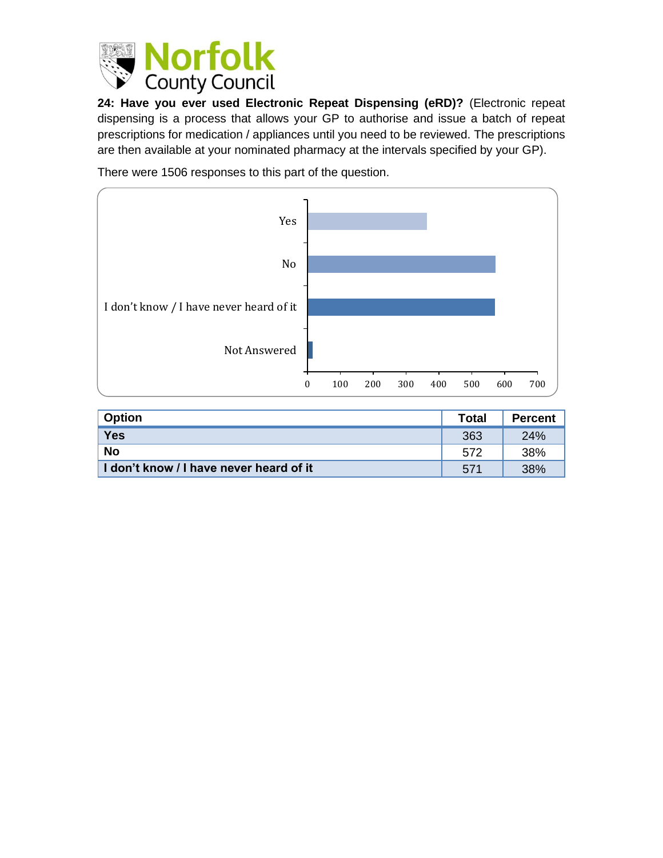

**24: Have you ever used Electronic Repeat Dispensing (eRD)?** (Electronic repeat dispensing is a process that allows your GP to authorise and issue a batch of repeat prescriptions for medication / appliances until you need to be reviewed. The prescriptions are then available at your nominated pharmacy at the intervals specified by your GP).

There were 1506 responses to this part of the question.



| <b>Option</b>                           | <b>Total</b> | <b>Percent</b> |
|-----------------------------------------|--------------|----------------|
| <b>Yes</b>                              | 363          | 24%            |
| <b>No</b>                               | 572          | 38%            |
| I don't know / I have never heard of it | 571          | 38%            |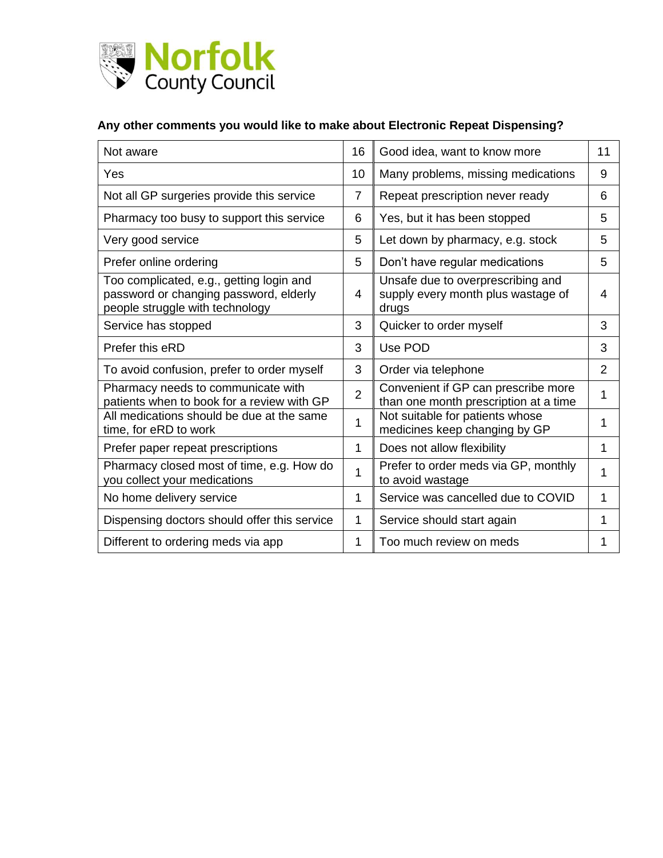

### **Any other comments you would like to make about Electronic Repeat Dispensing?**

| Not aware                                                                                                             | 16             | Good idea, want to know more                                                     | 11             |
|-----------------------------------------------------------------------------------------------------------------------|----------------|----------------------------------------------------------------------------------|----------------|
| Yes                                                                                                                   | 10             | Many problems, missing medications                                               | 9              |
| Not all GP surgeries provide this service                                                                             | $\overline{7}$ | Repeat prescription never ready                                                  | 6              |
| Pharmacy too busy to support this service                                                                             | 6              | Yes, but it has been stopped                                                     | 5              |
| Very good service                                                                                                     | 5              | Let down by pharmacy, e.g. stock                                                 | 5              |
| Prefer online ordering                                                                                                | 5              | Don't have regular medications                                                   | 5              |
| Too complicated, e.g., getting login and<br>password or changing password, elderly<br>people struggle with technology | 4              | Unsafe due to overprescribing and<br>supply every month plus wastage of<br>drugs | 4              |
| Service has stopped                                                                                                   | 3              | Quicker to order myself                                                          | 3              |
| Prefer this eRD                                                                                                       | 3              | Use POD                                                                          | 3              |
| To avoid confusion, prefer to order myself                                                                            | 3              | Order via telephone                                                              | $\overline{2}$ |
| Pharmacy needs to communicate with<br>patients when to book for a review with GP                                      | $\overline{2}$ | Convenient if GP can prescribe more<br>than one month prescription at a time     | 1              |
| All medications should be due at the same<br>time, for eRD to work                                                    | 1              | Not suitable for patients whose<br>medicines keep changing by GP                 | 1              |
| Prefer paper repeat prescriptions                                                                                     | 1              | Does not allow flexibility                                                       | 1              |
| Pharmacy closed most of time, e.g. How do<br>you collect your medications                                             | 1              | Prefer to order meds via GP, monthly<br>to avoid wastage                         | 1              |
| No home delivery service                                                                                              | 1              | Service was cancelled due to COVID                                               | 1              |
| Dispensing doctors should offer this service                                                                          | 1              | Service should start again                                                       | 1              |
| Different to ordering meds via app                                                                                    | 1              | Too much review on meds                                                          | 1              |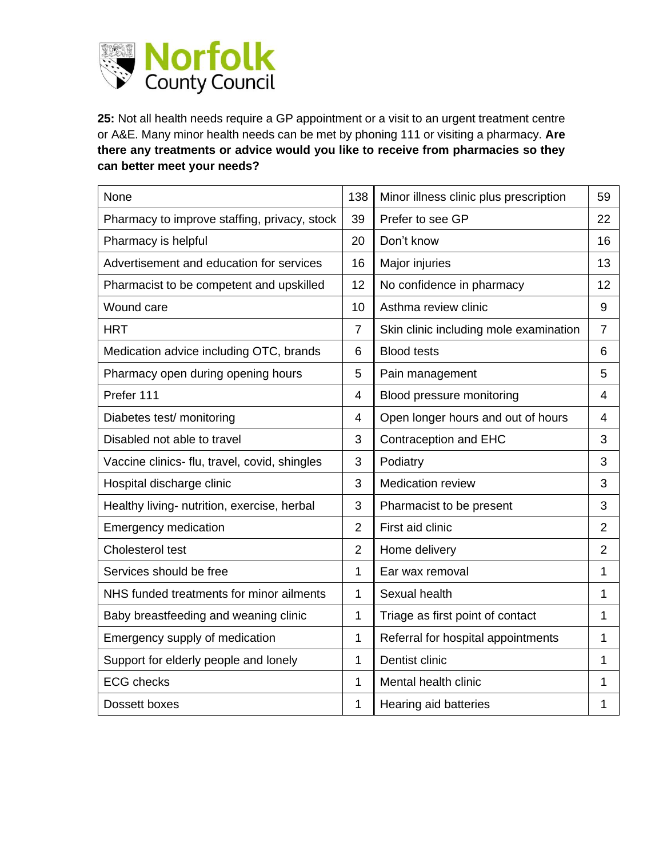

**25:** Not all health needs require a GP appointment or a visit to an urgent treatment centre or A&E. Many minor health needs can be met by phoning 111 or visiting a pharmacy. **Are there any treatments or advice would you like to receive from pharmacies so they can better meet your needs?**

| None                                          | 138            | Minor illness clinic plus prescription | 59             |
|-----------------------------------------------|----------------|----------------------------------------|----------------|
| Pharmacy to improve staffing, privacy, stock  | 39             | Prefer to see GP                       | 22             |
| Pharmacy is helpful                           | 20             | Don't know                             | 16             |
| Advertisement and education for services      | 16             | Major injuries                         | 13             |
| Pharmacist to be competent and upskilled      | 12             | No confidence in pharmacy              | 12             |
| Wound care                                    | 10             | Asthma review clinic                   | 9              |
| <b>HRT</b>                                    | $\overline{7}$ | Skin clinic including mole examination | $\overline{7}$ |
| Medication advice including OTC, brands       | 6              | <b>Blood tests</b>                     | 6              |
| Pharmacy open during opening hours            | 5              | Pain management                        | 5              |
| Prefer 111                                    | 4              | Blood pressure monitoring              | 4              |
| Diabetes test/ monitoring                     | 4              | Open longer hours and out of hours     | 4              |
| Disabled not able to travel                   | 3              | Contraception and EHC                  | 3              |
| Vaccine clinics- flu, travel, covid, shingles | 3              | Podiatry                               | 3              |
| Hospital discharge clinic                     | 3              | <b>Medication review</b>               | 3              |
| Healthy living- nutrition, exercise, herbal   | 3              | Pharmacist to be present               | 3              |
| <b>Emergency medication</b>                   | $\overline{2}$ | First aid clinic                       | $\overline{2}$ |
| Cholesterol test                              | $\overline{2}$ | Home delivery                          | $\overline{2}$ |
| Services should be free                       | 1              | Ear wax removal                        | 1              |
| NHS funded treatments for minor ailments      | 1              | Sexual health                          | 1              |
| Baby breastfeeding and weaning clinic         | 1              | Triage as first point of contact       | 1              |
| Emergency supply of medication                | 1              | Referral for hospital appointments     | 1              |
| Support for elderly people and lonely         | 1              | Dentist clinic                         | 1              |
| <b>ECG</b> checks                             | 1              | Mental health clinic                   | 1              |
| Dossett boxes                                 | 1              | Hearing aid batteries                  | 1              |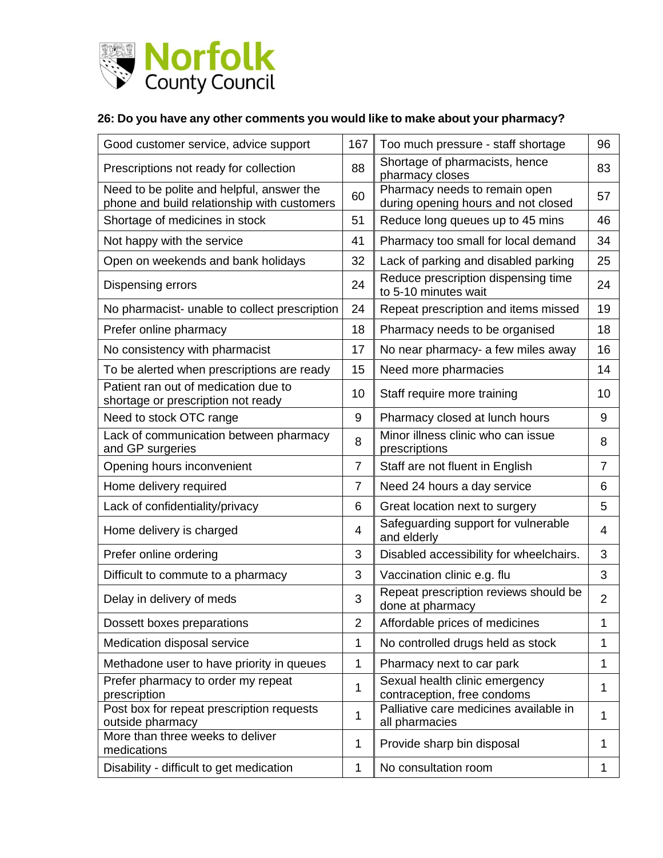

#### **26: Do you have any other comments you would like to make about your pharmacy?**

| Good customer service, advice support                                                    | 167            | Too much pressure - staff shortage                                   | 96             |
|------------------------------------------------------------------------------------------|----------------|----------------------------------------------------------------------|----------------|
| Prescriptions not ready for collection                                                   | 88             | Shortage of pharmacists, hence<br>pharmacy closes                    | 83             |
| Need to be polite and helpful, answer the<br>phone and build relationship with customers | 60             | Pharmacy needs to remain open<br>during opening hours and not closed | 57             |
| Shortage of medicines in stock                                                           | 51             | Reduce long queues up to 45 mins                                     | 46             |
| Not happy with the service                                                               | 41             | Pharmacy too small for local demand                                  | 34             |
| Open on weekends and bank holidays                                                       | 32             | Lack of parking and disabled parking                                 | 25             |
| Dispensing errors                                                                        | 24             | Reduce prescription dispensing time<br>to 5-10 minutes wait          | 24             |
| No pharmacist- unable to collect prescription                                            | 24             | Repeat prescription and items missed                                 | 19             |
| Prefer online pharmacy                                                                   | 18             | Pharmacy needs to be organised                                       | 18             |
| No consistency with pharmacist                                                           | 17             | No near pharmacy- a few miles away                                   | 16             |
| To be alerted when prescriptions are ready                                               | 15             | Need more pharmacies                                                 | 14             |
| Patient ran out of medication due to<br>shortage or prescription not ready               | 10             | Staff require more training                                          | 10             |
| Need to stock OTC range                                                                  | 9              | Pharmacy closed at lunch hours                                       | 9              |
| Lack of communication between pharmacy<br>and GP surgeries                               | 8              | Minor illness clinic who can issue<br>prescriptions                  | 8              |
| Opening hours inconvenient                                                               | $\overline{7}$ | Staff are not fluent in English                                      | $\overline{7}$ |
| Home delivery required                                                                   | $\overline{7}$ | Need 24 hours a day service                                          | 6              |
| Lack of confidentiality/privacy                                                          | 6              | Great location next to surgery                                       | 5              |
| Home delivery is charged                                                                 | 4              | Safeguarding support for vulnerable<br>and elderly                   | 4              |
| Prefer online ordering                                                                   | 3              | Disabled accessibility for wheelchairs.                              | 3              |
| Difficult to commute to a pharmacy                                                       | 3              | Vaccination clinic e.g. flu                                          | 3              |
| Delay in delivery of meds                                                                | 3              | Repeat prescription reviews should be<br>done at pharmacy            | $\overline{2}$ |
| Dossett boxes preparations                                                               | $\overline{2}$ | Affordable prices of medicines                                       | $\mathbf{1}$   |
| Medication disposal service                                                              | 1              | No controlled drugs held as stock                                    | 1              |
| Methadone user to have priority in queues                                                | 1              | Pharmacy next to car park                                            | 1              |
| Prefer pharmacy to order my repeat<br>prescription                                       | 1              | Sexual health clinic emergency<br>contraception, free condoms        | $\mathbf{1}$   |
| Post box for repeat prescription requests<br>outside pharmacy                            | 1              | Palliative care medicines available in<br>all pharmacies             | 1              |
| More than three weeks to deliver<br>medications                                          | 1              | Provide sharp bin disposal                                           | 1              |
| Disability - difficult to get medication                                                 | 1              | No consultation room                                                 | $\mathbf{1}$   |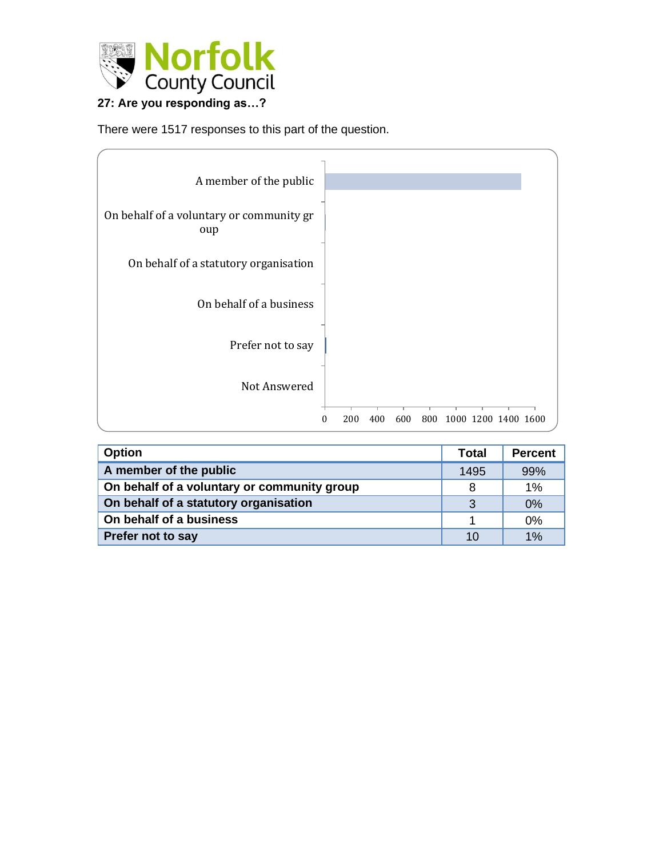

# **27: Are you responding as…?**

There were 1517 responses to this part of the question.

| A member of the public                          |                                                      |
|-------------------------------------------------|------------------------------------------------------|
| On behalf of a voluntary or community gr<br>oup |                                                      |
| On behalf of a statutory organisation           |                                                      |
| On behalf of a business                         |                                                      |
| Prefer not to say                               |                                                      |
| Not Answered                                    |                                                      |
|                                                 | 800<br>1000 1200 1400 1600<br>600<br>200<br>400<br>0 |

| <b>Option</b>                               | <b>Total</b> | <b>Percent</b> |
|---------------------------------------------|--------------|----------------|
| A member of the public                      | 1495         | 99%            |
| On behalf of a voluntary or community group | 8            | 1%             |
| On behalf of a statutory organisation       | -3           | 0%             |
| On behalf of a business                     |              | 0%             |
| Prefer not to say                           | 10           | 1%             |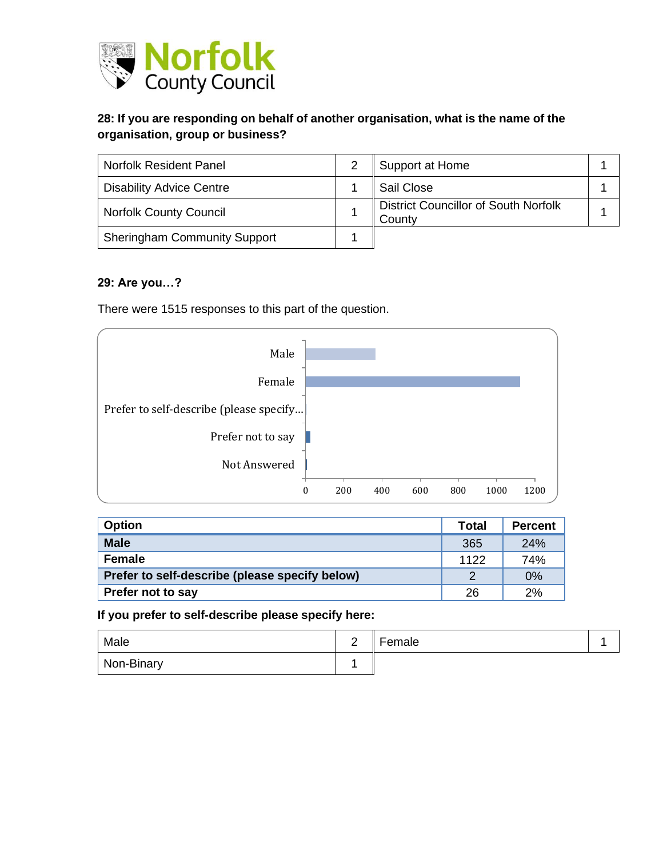

### **28: If you are responding on behalf of another organisation, what is the name of the organisation, group or business?**

| <b>Norfolk Resident Panel</b>       | Support at Home                                       |  |
|-------------------------------------|-------------------------------------------------------|--|
| <b>Disability Advice Centre</b>     | Sail Close                                            |  |
| <b>Norfolk County Council</b>       | <b>District Councillor of South Norfolk</b><br>County |  |
| <b>Sheringham Community Support</b> |                                                       |  |

#### **29: Are you…?**

There were 1515 responses to this part of the question.



| <b>Option</b>                                  | Total         | <b>Percent</b> |
|------------------------------------------------|---------------|----------------|
| <b>Male</b>                                    | 365           | 24%            |
| Female                                         | 1122          | 74%            |
| Prefer to self-describe (please specify below) | $\mathcal{D}$ | 0%             |
| <b>Prefer not to say</b>                       | 26            | 2%             |

**If you prefer to self-describe please specify here:**

| Male       | - | Female |  |
|------------|---|--------|--|
| Non-Binary |   |        |  |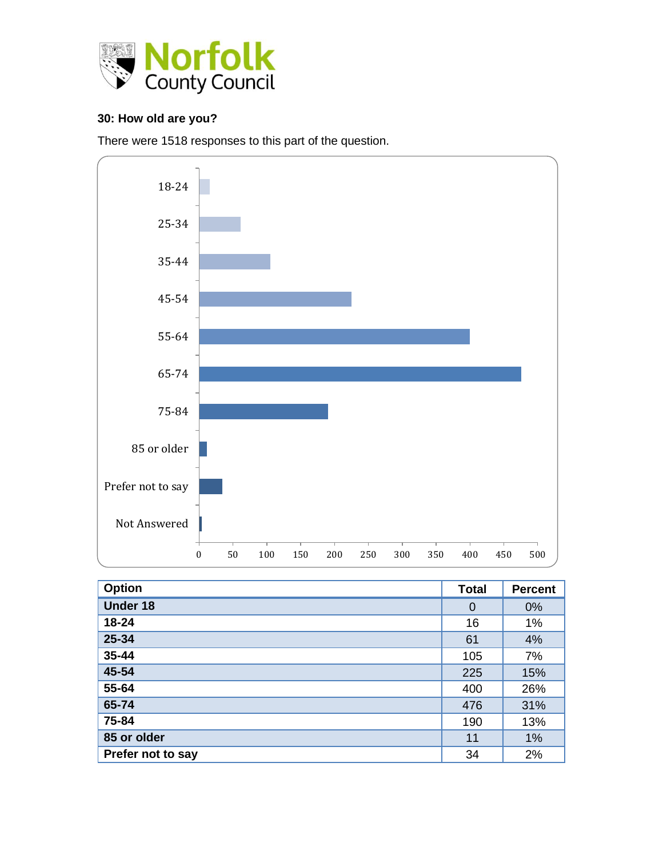

#### **30: How old are you?**

There were 1518 responses to this part of the question.



| <b>Option</b>     | <b>Total</b>   | <b>Percent</b> |
|-------------------|----------------|----------------|
| <b>Under 18</b>   | $\overline{0}$ | 0%             |
| 18-24             | 16             | 1%             |
| 25-34             | 61             | 4%             |
| 35-44             | 105            | 7%             |
| 45-54             | 225            | 15%            |
| 55-64             | 400            | 26%            |
| 65-74             | 476            | 31%            |
| 75-84             | 190            | 13%            |
| 85 or older       | 11             | 1%             |
| Prefer not to say | 34             | 2%             |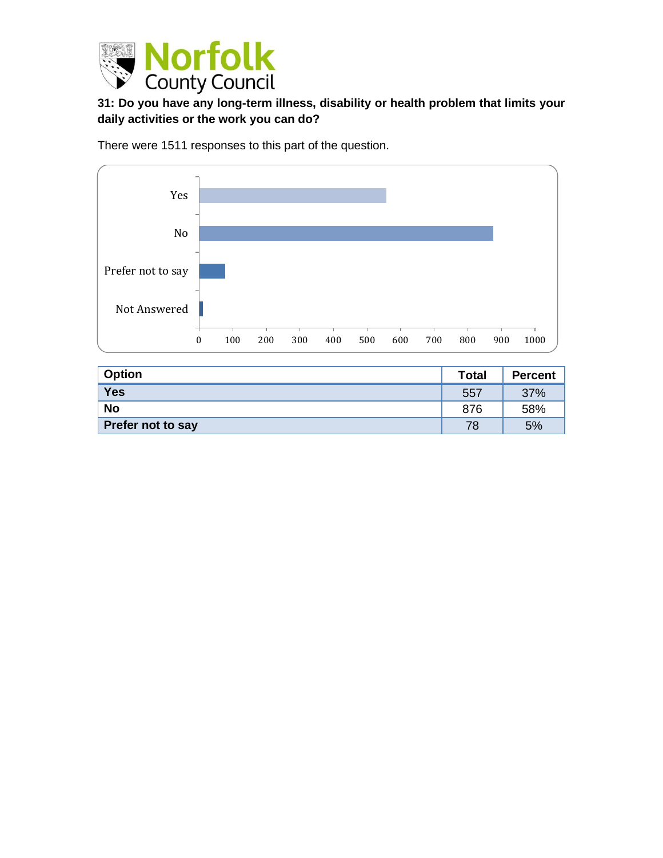

# **31: Do you have any long-term illness, disability or health problem that limits your daily activities or the work you can do?**

There were 1511 responses to this part of the question.



| <b>Option</b>     | <b>Total</b> | <b>Percent</b> |
|-------------------|--------------|----------------|
| <b>Yes</b>        | 557          | 37%            |
| <b>No</b>         | 876          | 58%            |
| Prefer not to say | 78           | 5%             |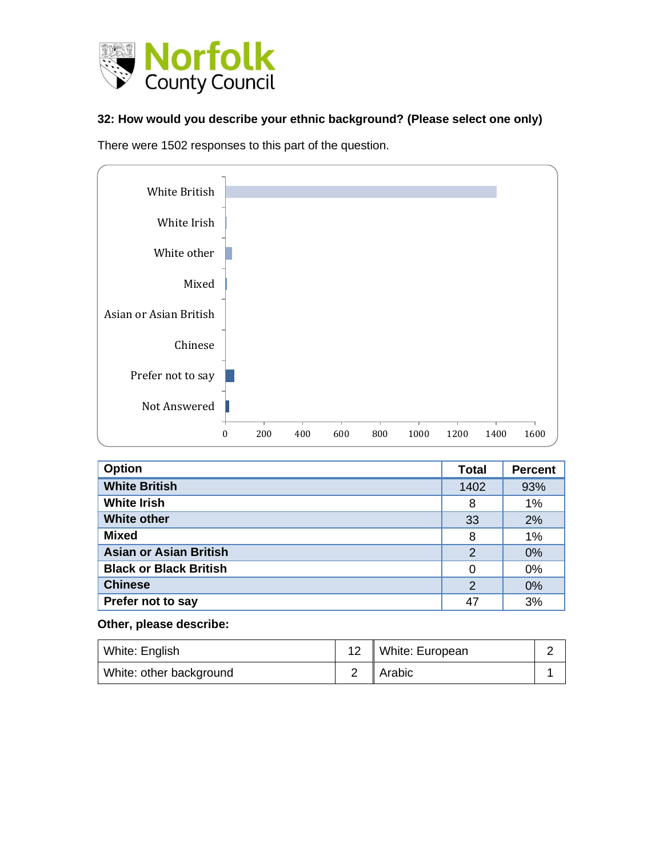

#### **32: How would you describe your ethnic background? (Please select one only)**

There were 1502 responses to this part of the question.



| <b>Option</b>                 | <b>Total</b>   | <b>Percent</b> |
|-------------------------------|----------------|----------------|
| <b>White British</b>          | 1402           | 93%            |
| <b>White Irish</b>            | 8              | 1%             |
| <b>White other</b>            | 33             | 2%             |
| <b>Mixed</b>                  | 8              | 1%             |
| <b>Asian or Asian British</b> | $\overline{2}$ | 0%             |
| <b>Black or Black British</b> | 0              | 0%             |
| <b>Chinese</b>                | $\overline{2}$ | 0%             |
| Prefer not to say             | 47             | 3%             |

#### **Other, please describe:**

| White: English          | 12   White: European |  |
|-------------------------|----------------------|--|
| White: other background | Arabic               |  |